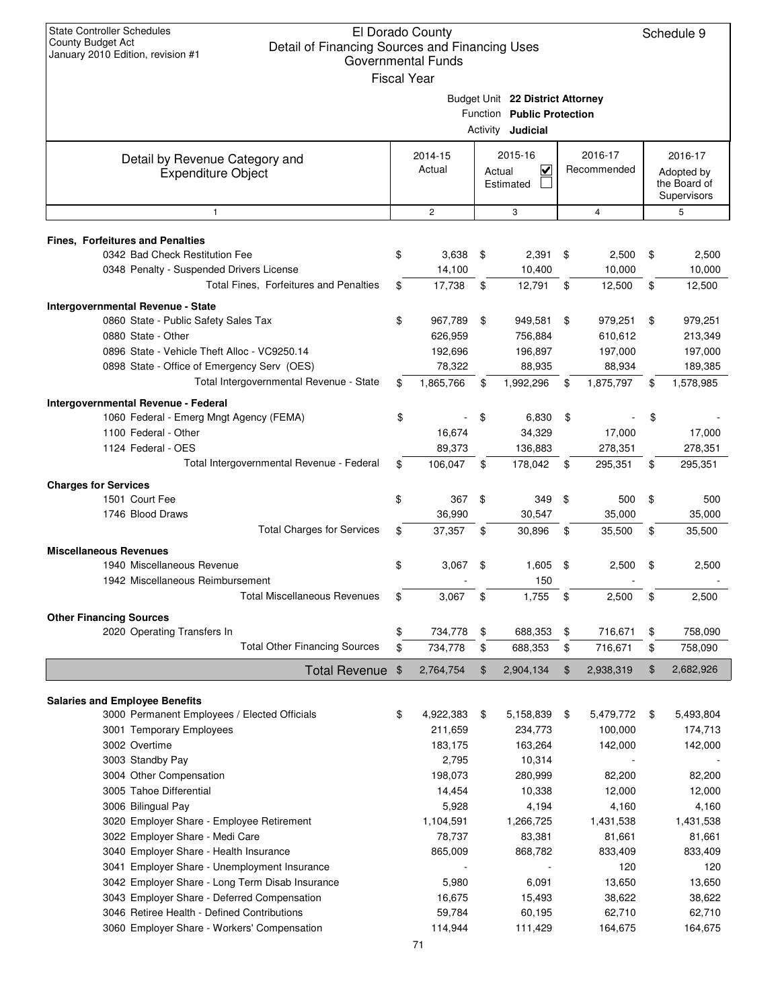| <b>State Controller Schedules</b><br><b>County Budget Act</b><br>Detail of Financing Sources and Financing Uses<br>January 2010 Edition, revision #1 | El Dorado County<br><b>Governmental Funds</b><br><b>Fiscal Year</b> |                                                                                            |    |                        |    | Schedule 9         |  |                                                      |
|------------------------------------------------------------------------------------------------------------------------------------------------------|---------------------------------------------------------------------|--------------------------------------------------------------------------------------------|----|------------------------|----|--------------------|--|------------------------------------------------------|
|                                                                                                                                                      |                                                                     | Budget Unit 22 District Attorney<br>Function Public Protection<br>Activity <b>Judicial</b> |    |                        |    |                    |  |                                                      |
| Detail by Revenue Category and<br><b>Expenditure Object</b>                                                                                          | 2014-15<br>Actual                                                   | 2015-16<br>$\checkmark$<br>Actual<br>Estimated                                             |    | 2016-17<br>Recommended |    |                    |  | 2016-17<br>Adopted by<br>the Board of<br>Supervisors |
| $\mathbf{1}$                                                                                                                                         | $\mathbf{2}$                                                        | 3                                                                                          |    | 4                      |    | 5                  |  |                                                      |
| <b>Fines, Forfeitures and Penalties</b>                                                                                                              |                                                                     |                                                                                            |    |                        |    |                    |  |                                                      |
| 0342 Bad Check Restitution Fee                                                                                                                       | \$<br>3,638                                                         | \$<br>2,391                                                                                | \$ | 2,500                  | \$ | 2,500              |  |                                                      |
| 0348 Penalty - Suspended Drivers License                                                                                                             | 14,100                                                              | 10,400                                                                                     |    | 10,000                 |    | 10,000             |  |                                                      |
| Total Fines, Forfeitures and Penalties                                                                                                               | \$<br>17,738                                                        | \$<br>12,791                                                                               | \$ | 12,500                 | \$ | 12,500             |  |                                                      |
| <b>Intergovernmental Revenue - State</b>                                                                                                             |                                                                     |                                                                                            |    |                        |    |                    |  |                                                      |
| 0860 State - Public Safety Sales Tax                                                                                                                 | \$<br>967,789                                                       | \$<br>949,581                                                                              | \$ | 979,251                | \$ | 979,251            |  |                                                      |
| 0880 State - Other                                                                                                                                   | 626,959                                                             | 756,884                                                                                    |    | 610,612                |    | 213,349            |  |                                                      |
| 0896 State - Vehicle Theft Alloc - VC9250.14<br>0898 State - Office of Emergency Serv (OES)                                                          | 192,696<br>78,322                                                   | 196,897<br>88,935                                                                          |    | 197,000<br>88,934      |    | 197,000<br>189,385 |  |                                                      |
| Total Intergovernmental Revenue - State                                                                                                              | \$<br>1,865,766                                                     | \$<br>1,992,296                                                                            | \$ | 1,875,797              | \$ | 1,578,985          |  |                                                      |
|                                                                                                                                                      |                                                                     |                                                                                            |    |                        |    |                    |  |                                                      |
| Intergovernmental Revenue - Federal<br>1060 Federal - Emerg Mngt Agency (FEMA)                                                                       | \$                                                                  | \$<br>6,830                                                                                | \$ |                        | \$ |                    |  |                                                      |
| 1100 Federal - Other                                                                                                                                 | 16,674                                                              | 34,329                                                                                     |    | 17,000                 |    | 17,000             |  |                                                      |
| 1124 Federal - OES                                                                                                                                   | 89,373                                                              | 136,883                                                                                    |    | 278,351                |    | 278,351            |  |                                                      |
| Total Intergovernmental Revenue - Federal                                                                                                            | \$<br>106,047                                                       | \$<br>178,042                                                                              | \$ | 295,351                | \$ | 295,351            |  |                                                      |
| <b>Charges for Services</b>                                                                                                                          |                                                                     |                                                                                            |    |                        |    |                    |  |                                                      |
| 1501 Court Fee                                                                                                                                       | \$<br>367                                                           | \$<br>349                                                                                  | \$ | 500                    | \$ | 500                |  |                                                      |
| 1746 Blood Draws                                                                                                                                     | 36,990                                                              | 30,547                                                                                     |    | 35,000                 |    | 35,000             |  |                                                      |
| <b>Total Charges for Services</b>                                                                                                                    | \$<br>37,357                                                        | \$<br>30,896                                                                               | \$ | 35,500                 | \$ | 35,500             |  |                                                      |
| <b>Miscellaneous Revenues</b>                                                                                                                        |                                                                     |                                                                                            |    |                        |    |                    |  |                                                      |
| 1940 Miscellaneous Revenue                                                                                                                           | \$<br>3,067                                                         | \$<br>1,605                                                                                | \$ | 2,500                  | \$ | 2,500              |  |                                                      |
| 1942 Miscellaneous Reimbursement                                                                                                                     |                                                                     | 150                                                                                        |    |                        |    |                    |  |                                                      |
| <b>Total Miscellaneous Revenues</b>                                                                                                                  | \$<br>3,067                                                         | \$<br>1,755                                                                                | \$ | 2,500                  | \$ | 2,500              |  |                                                      |
| <b>Other Financing Sources</b>                                                                                                                       |                                                                     |                                                                                            |    |                        |    |                    |  |                                                      |
| 2020 Operating Transfers In                                                                                                                          | \$<br>734,778                                                       | \$<br>688,353                                                                              | \$ | 716,671                | \$ | 758,090            |  |                                                      |
| <b>Total Other Financing Sources</b>                                                                                                                 | \$<br>734,778                                                       | \$<br>688,353                                                                              | \$ | 716,671                | \$ | 758,090            |  |                                                      |
| <b>Total Revenue</b>                                                                                                                                 | \$<br>2,764,754                                                     | \$<br>2,904,134                                                                            | \$ | 2,938,319              | \$ | 2,682,926          |  |                                                      |
|                                                                                                                                                      |                                                                     |                                                                                            |    |                        |    |                    |  |                                                      |
| <b>Salaries and Employee Benefits</b><br>3000 Permanent Employees / Elected Officials                                                                | \$<br>4,922,383                                                     | \$<br>5,158,839                                                                            | \$ | 5,479,772              | \$ | 5,493,804          |  |                                                      |
| 3001 Temporary Employees                                                                                                                             | 211,659                                                             | 234,773                                                                                    |    | 100,000                |    | 174,713            |  |                                                      |
| 3002 Overtime                                                                                                                                        | 183,175                                                             | 163,264                                                                                    |    | 142,000                |    | 142,000            |  |                                                      |
| 3003 Standby Pay                                                                                                                                     | 2,795                                                               | 10,314                                                                                     |    |                        |    |                    |  |                                                      |
| 3004 Other Compensation                                                                                                                              | 198,073                                                             | 280,999                                                                                    |    | 82,200                 |    | 82,200             |  |                                                      |
| 3005 Tahoe Differential                                                                                                                              | 14,454                                                              | 10,338                                                                                     |    | 12,000                 |    | 12,000             |  |                                                      |
| 3006 Bilingual Pay                                                                                                                                   | 5,928                                                               | 4,194                                                                                      |    | 4,160                  |    | 4,160              |  |                                                      |
| 3020 Employer Share - Employee Retirement                                                                                                            | 1,104,591                                                           | 1,266,725                                                                                  |    | 1,431,538              |    | 1,431,538          |  |                                                      |
| 3022 Employer Share - Medi Care                                                                                                                      | 78,737                                                              | 83,381                                                                                     |    | 81,661                 |    | 81,661             |  |                                                      |
| 3040 Employer Share - Health Insurance                                                                                                               | 865,009                                                             | 868,782                                                                                    |    | 833,409<br>120         |    | 833,409            |  |                                                      |
| 3041 Employer Share - Unemployment Insurance<br>3042 Employer Share - Long Term Disab Insurance                                                      | 5,980                                                               | 6,091                                                                                      |    | 13,650                 |    | 120<br>13,650      |  |                                                      |
| 3043 Employer Share - Deferred Compensation                                                                                                          | 16,675                                                              | 15,493                                                                                     |    | 38,622                 |    | 38,622             |  |                                                      |
| 3046 Retiree Health - Defined Contributions                                                                                                          | 59,784                                                              | 60,195                                                                                     |    | 62,710                 |    | 62,710             |  |                                                      |
| 3060 Employer Share - Workers' Compensation                                                                                                          | 114,944                                                             | 111,429                                                                                    |    | 164,675                |    | 164,675            |  |                                                      |
|                                                                                                                                                      | 71                                                                  |                                                                                            |    |                        |    |                    |  |                                                      |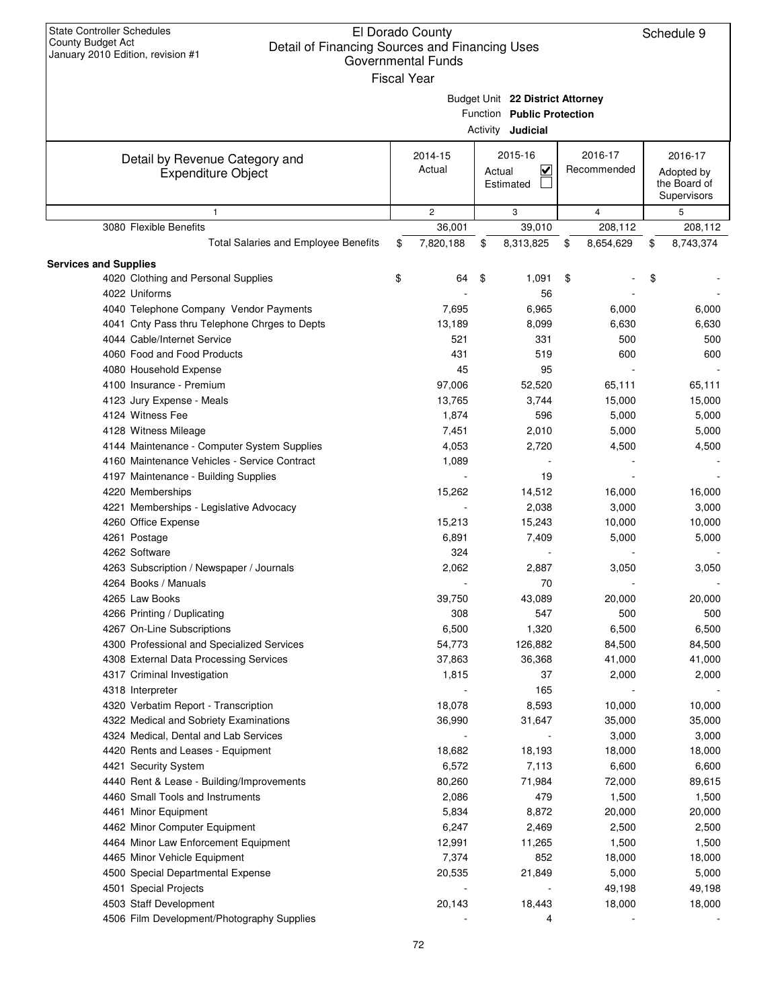| <b>State Controller Schedules</b><br>County Budget Act<br>Detail of Financing Sources and Financing Uses<br>January 2010 Edition, revision #1 |                                                     | El Dorado County<br><b>Governmental Funds</b><br><b>Fiscal Year</b> |    |                                                                                            |                                                      | Schedule 9      |
|-----------------------------------------------------------------------------------------------------------------------------------------------|-----------------------------------------------------|---------------------------------------------------------------------|----|--------------------------------------------------------------------------------------------|------------------------------------------------------|-----------------|
|                                                                                                                                               |                                                     |                                                                     |    | Budget Unit 22 District Attorney<br>Function Public Protection<br>Activity <b>Judicial</b> |                                                      |                 |
| Detail by Revenue Category and<br><b>Expenditure Object</b>                                                                                   | 2015-16<br>2014-15<br>Actual<br>Actual<br>Estimated |                                                                     | V  | 2016-17<br>Recommended                                                                     | 2016-17<br>Adopted by<br>the Board of<br>Supervisors |                 |
| $\mathbf{1}$                                                                                                                                  |                                                     | $\overline{c}$                                                      |    | 3                                                                                          | $\overline{4}$                                       | 5               |
| 3080 Flexible Benefits                                                                                                                        |                                                     | 36,001                                                              |    | 39,010                                                                                     | 208,112                                              | 208,112         |
| <b>Total Salaries and Employee Benefits</b>                                                                                                   | \$                                                  | 7,820,188                                                           | \$ | 8,313,825                                                                                  | \$<br>8,654,629                                      | \$<br>8,743,374 |
| <b>Services and Supplies</b>                                                                                                                  |                                                     |                                                                     |    |                                                                                            |                                                      |                 |
| 4020 Clothing and Personal Supplies                                                                                                           | \$                                                  | 64                                                                  | \$ | 1,091                                                                                      | \$                                                   | \$              |
| 4022 Uniforms                                                                                                                                 |                                                     |                                                                     |    | 56                                                                                         |                                                      |                 |
| 4040 Telephone Company Vendor Payments                                                                                                        |                                                     | 7,695                                                               |    | 6,965                                                                                      | 6,000                                                | 6,000           |
| 4041 Cnty Pass thru Telephone Chrges to Depts                                                                                                 |                                                     | 13,189                                                              |    | 8,099                                                                                      | 6,630                                                | 6,630           |
| 4044 Cable/Internet Service                                                                                                                   |                                                     | 521                                                                 |    | 331                                                                                        | 500                                                  | 500             |
| 4060 Food and Food Products                                                                                                                   |                                                     | 431                                                                 |    | 519                                                                                        | 600                                                  | 600             |
| 4080 Household Expense                                                                                                                        |                                                     | 45                                                                  |    | 95                                                                                         |                                                      |                 |
| 4100 Insurance - Premium                                                                                                                      |                                                     | 97,006                                                              |    | 52,520                                                                                     | 65,111                                               | 65,111          |
| 4123 Jury Expense - Meals                                                                                                                     |                                                     | 13,765                                                              |    | 3,744                                                                                      | 15,000                                               | 15,000          |
| 4124 Witness Fee                                                                                                                              |                                                     | 1,874                                                               |    | 596                                                                                        | 5,000                                                | 5,000           |
| 4128 Witness Mileage                                                                                                                          |                                                     | 7,451                                                               |    | 2,010                                                                                      | 5,000                                                | 5,000           |
| 4144 Maintenance - Computer System Supplies                                                                                                   |                                                     | 4,053                                                               |    | 2,720                                                                                      | 4,500                                                | 4,500           |
| 4160 Maintenance Vehicles - Service Contract                                                                                                  |                                                     | 1,089                                                               |    |                                                                                            |                                                      |                 |
| 4197 Maintenance - Building Supplies                                                                                                          |                                                     |                                                                     |    | 19                                                                                         |                                                      |                 |
| 4220 Memberships                                                                                                                              |                                                     | 15,262                                                              |    | 14,512                                                                                     | 16,000                                               | 16,000          |
| 4221 Memberships - Legislative Advocacy                                                                                                       |                                                     |                                                                     |    | 2,038                                                                                      | 3,000                                                | 3,000           |
| 4260 Office Expense                                                                                                                           |                                                     | 15,213                                                              |    | 15,243                                                                                     | 10,000                                               | 10,000          |
| 4261 Postage                                                                                                                                  |                                                     | 6,891                                                               |    | 7,409                                                                                      | 5,000                                                | 5,000           |
| 4262 Software                                                                                                                                 |                                                     | 324                                                                 |    |                                                                                            |                                                      |                 |
| 4263 Subscription / Newspaper / Journals                                                                                                      |                                                     | 2,062                                                               |    | 2,887                                                                                      | 3,050                                                | 3,050           |
| 4264 Books / Manuals                                                                                                                          |                                                     |                                                                     |    | 70                                                                                         |                                                      |                 |
| 4265 Law Books                                                                                                                                |                                                     | 39,750                                                              |    | 43,089                                                                                     | 20,000                                               | 20,000          |
| 4266 Printing / Duplicating                                                                                                                   |                                                     | 308                                                                 |    | 547                                                                                        | 500                                                  | 500             |
| 4267 On-Line Subscriptions                                                                                                                    |                                                     | 6,500                                                               |    | 1,320                                                                                      | 6,500                                                | 6,500           |
| 4300 Professional and Specialized Services                                                                                                    |                                                     | 54,773                                                              |    | 126,882                                                                                    | 84,500                                               | 84,500          |
| 4308 External Data Processing Services                                                                                                        |                                                     | 37,863                                                              |    | 36,368                                                                                     | 41,000                                               | 41,000          |
| 4317 Criminal Investigation                                                                                                                   |                                                     | 1,815                                                               |    | 37                                                                                         | 2,000                                                | 2,000           |
| 4318 Interpreter                                                                                                                              |                                                     |                                                                     |    | 165                                                                                        |                                                      |                 |
| 4320 Verbatim Report - Transcription                                                                                                          |                                                     | 18,078                                                              |    | 8,593                                                                                      | 10,000                                               | 10,000          |
| 4322 Medical and Sobriety Examinations                                                                                                        |                                                     | 36,990                                                              |    | 31,647                                                                                     | 35,000                                               | 35,000          |
| 4324 Medical, Dental and Lab Services                                                                                                         |                                                     |                                                                     |    |                                                                                            | 3,000                                                | 3,000           |
| 4420 Rents and Leases - Equipment                                                                                                             |                                                     | 18,682                                                              |    | 18,193                                                                                     | 18,000                                               | 18,000          |
| 4421 Security System                                                                                                                          |                                                     | 6,572                                                               |    | 7,113                                                                                      | 6,600                                                | 6,600           |
| 4440 Rent & Lease - Building/Improvements                                                                                                     |                                                     | 80,260                                                              |    | 71,984                                                                                     | 72,000                                               | 89,615          |
| 4460 Small Tools and Instruments                                                                                                              |                                                     | 2,086                                                               |    | 479                                                                                        | 1,500                                                | 1,500           |
| 4461 Minor Equipment                                                                                                                          |                                                     | 5,834                                                               |    | 8,872                                                                                      | 20,000                                               | 20,000          |
| 4462 Minor Computer Equipment                                                                                                                 |                                                     | 6,247                                                               |    | 2,469                                                                                      | 2,500                                                | 2,500           |
| 4464 Minor Law Enforcement Equipment                                                                                                          |                                                     | 12,991                                                              |    | 11,265                                                                                     | 1,500                                                | 1,500           |
| 4465 Minor Vehicle Equipment                                                                                                                  |                                                     | 7,374                                                               |    | 852                                                                                        | 18,000                                               | 18,000          |
| 4500 Special Departmental Expense                                                                                                             |                                                     | 20,535                                                              |    | 21,849                                                                                     | 5,000                                                | 5,000           |
| 4501 Special Projects                                                                                                                         |                                                     |                                                                     |    |                                                                                            | 49,198                                               | 49,198          |
| 4503 Staff Development                                                                                                                        |                                                     | 20,143                                                              |    | 18,443                                                                                     | 18,000                                               | 18,000          |
| 4506 Film Development/Photography Supplies                                                                                                    |                                                     |                                                                     |    | 4                                                                                          |                                                      |                 |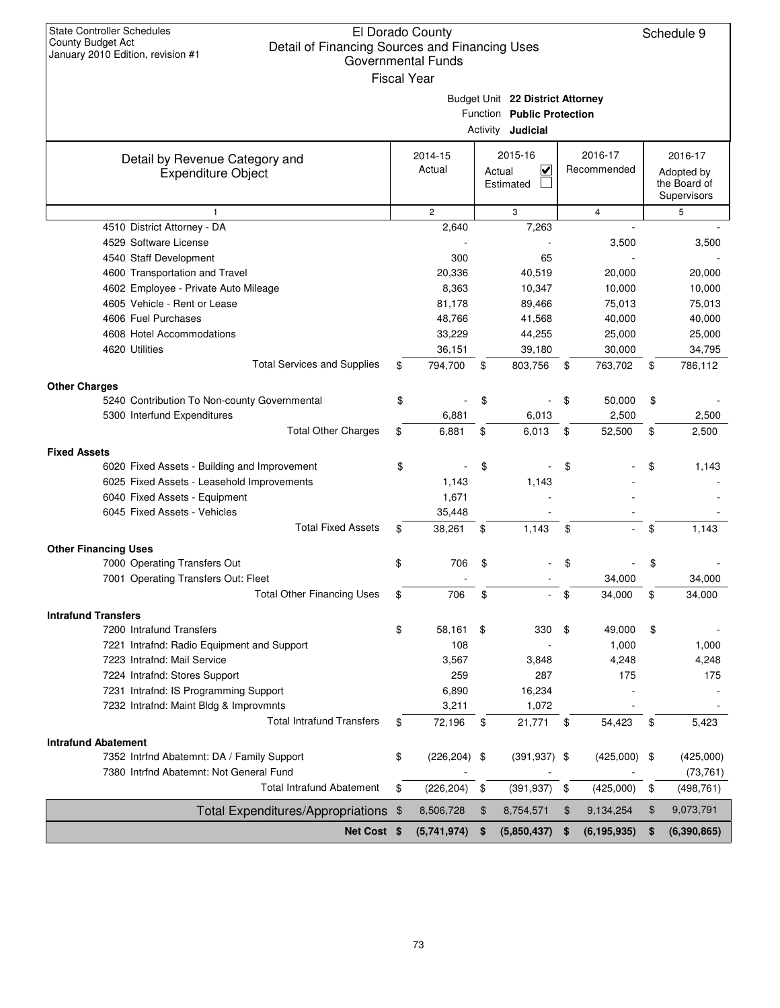| <b>State Controller Schedules</b>                                                                        | El Dorado County          |                            |                                   |                       | Schedule 9          |
|----------------------------------------------------------------------------------------------------------|---------------------------|----------------------------|-----------------------------------|-----------------------|---------------------|
| County Budget Act<br>Detail of Financing Sources and Financing Uses<br>January 2010 Edition, revision #1 |                           |                            |                                   |                       |                     |
|                                                                                                          | <b>Governmental Funds</b> |                            |                                   |                       |                     |
|                                                                                                          | <b>Fiscal Year</b>        |                            |                                   |                       |                     |
|                                                                                                          |                           |                            | Budget Unit 22 District Attorney  |                       |                     |
|                                                                                                          |                           |                            | Function Public Protection        |                       |                     |
|                                                                                                          |                           |                            | Activity <b>Judicial</b>          |                       |                     |
| Detail by Revenue Category and                                                                           | 2014-15                   |                            | 2015-16                           | 2016-17               | 2016-17             |
| <b>Expenditure Object</b>                                                                                | Actual                    |                            | $\overline{\mathbf{v}}$<br>Actual | Recommended           | Adopted by          |
|                                                                                                          |                           |                            | Estimated                         |                       | the Board of        |
|                                                                                                          |                           |                            |                                   |                       | Supervisors         |
| $\mathbf{1}$                                                                                             | $\mathbf{2}$              |                            | 3                                 | 4                     | 5                   |
| 4510 District Attorney - DA<br>4529 Software License                                                     | 2,640                     |                            | 7,263                             |                       | 3,500               |
| 4540 Staff Development                                                                                   | 300                       |                            | 65                                | 3,500                 |                     |
| 4600 Transportation and Travel                                                                           | 20,336                    |                            | 40,519                            | 20,000                | 20,000              |
| 4602 Employee - Private Auto Mileage                                                                     | 8,363                     |                            | 10,347                            | 10,000                | 10,000              |
| 4605 Vehicle - Rent or Lease                                                                             | 81,178                    |                            | 89,466                            | 75,013                | 75,013              |
| 4606 Fuel Purchases                                                                                      | 48,766                    |                            | 41,568                            | 40,000                | 40,000              |
| 4608 Hotel Accommodations                                                                                | 33,229                    |                            | 44,255                            | 25,000                | 25,000              |
| 4620 Utilities                                                                                           | 36,151                    |                            | 39,180                            | 30,000                | 34,795              |
| <b>Total Services and Supplies</b>                                                                       | \$<br>794,700             | \$                         | 803,756                           | \$<br>763,702         | \$<br>786,112       |
|                                                                                                          |                           |                            |                                   |                       |                     |
| <b>Other Charges</b><br>5240 Contribution To Non-county Governmental                                     | \$                        | \$                         |                                   | \$<br>50,000          | \$                  |
| 5300 Interfund Expenditures                                                                              | 6,881                     |                            | 6,013                             | 2,500                 | 2,500               |
| <b>Total Other Charges</b>                                                                               | \$<br>6,881               | \$                         | 6,013                             | \$<br>52,500          | \$<br>2,500         |
|                                                                                                          |                           |                            |                                   |                       |                     |
| <b>Fixed Assets</b><br>6020 Fixed Assets - Building and Improvement                                      | \$                        | \$                         |                                   | \$                    | \$<br>1,143         |
| 6025 Fixed Assets - Leasehold Improvements                                                               | 1,143                     |                            | 1,143                             |                       |                     |
| 6040 Fixed Assets - Equipment                                                                            | 1,671                     |                            |                                   |                       |                     |
| 6045 Fixed Assets - Vehicles                                                                             | 35,448                    |                            |                                   |                       |                     |
| <b>Total Fixed Assets</b>                                                                                | \$<br>38,261              | \$                         | 1,143                             | \$                    | \$<br>1,143         |
|                                                                                                          |                           |                            |                                   |                       |                     |
| <b>Other Financing Uses</b><br>7000 Operating Transfers Out                                              | \$<br>706                 | \$                         |                                   | \$                    |                     |
| 7001 Operating Transfers Out: Fleet                                                                      |                           |                            |                                   | 34,000                | 34,000              |
| <b>Total Other Financing Uses</b>                                                                        | 706                       | \$                         |                                   | \$<br>34,000          | \$<br>34,000        |
|                                                                                                          |                           |                            |                                   |                       |                     |
| <b>Intrafund Transfers</b>                                                                               | 58,161                    |                            |                                   |                       |                     |
| 7200 Intrafund Transfers<br>7221 Intrafnd: Radio Equipment and Support                                   | \$<br>108                 | \$                         | 330                               | \$<br>49,000<br>1,000 | \$<br>1,000         |
| 7223 Intrafnd: Mail Service                                                                              | 3,567                     |                            | 3,848                             | 4,248                 | 4,248               |
| 7224 Intrafnd: Stores Support                                                                            | 259                       |                            | 287                               | 175                   | 175                 |
| 7231 Intrafnd: IS Programming Support                                                                    | 6,890                     |                            | 16,234                            |                       |                     |
| 7232 Intrafnd: Maint Bldg & Improvmnts                                                                   | 3,211                     |                            | 1,072                             |                       |                     |
| <b>Total Intrafund Transfers</b>                                                                         | \$<br>72,196              | \$                         | 21,771                            | \$<br>54,423          | \$<br>5,423         |
|                                                                                                          |                           |                            |                                   |                       |                     |
| <b>Intrafund Abatement</b><br>7352 Intrfnd Abatemnt: DA / Family Support                                 | \$<br>$(226, 204)$ \$     |                            | $(391, 937)$ \$                   | $(425,000)$ \$        | (425,000)           |
| 7380 Intrfnd Abatemnt: Not General Fund                                                                  |                           |                            |                                   |                       | (73, 761)           |
| <b>Total Intrafund Abatement</b>                                                                         | \$<br>(226, 204)          | $\boldsymbol{\mathsf{\$}}$ | (391, 937)                        | \$<br>(425,000)       | \$<br>(498, 761)    |
| Total Expenditures/Appropriations \$                                                                     | 8,506,728                 | \$                         | 8,754,571                         | \$<br>9,134,254       | \$<br>9,073,791     |
|                                                                                                          |                           |                            |                                   |                       |                     |
| Net Cost \$                                                                                              | (5,741,974)               | \$                         | (5,850,437)                       | \$<br>(6, 195, 935)   | \$<br>(6, 390, 865) |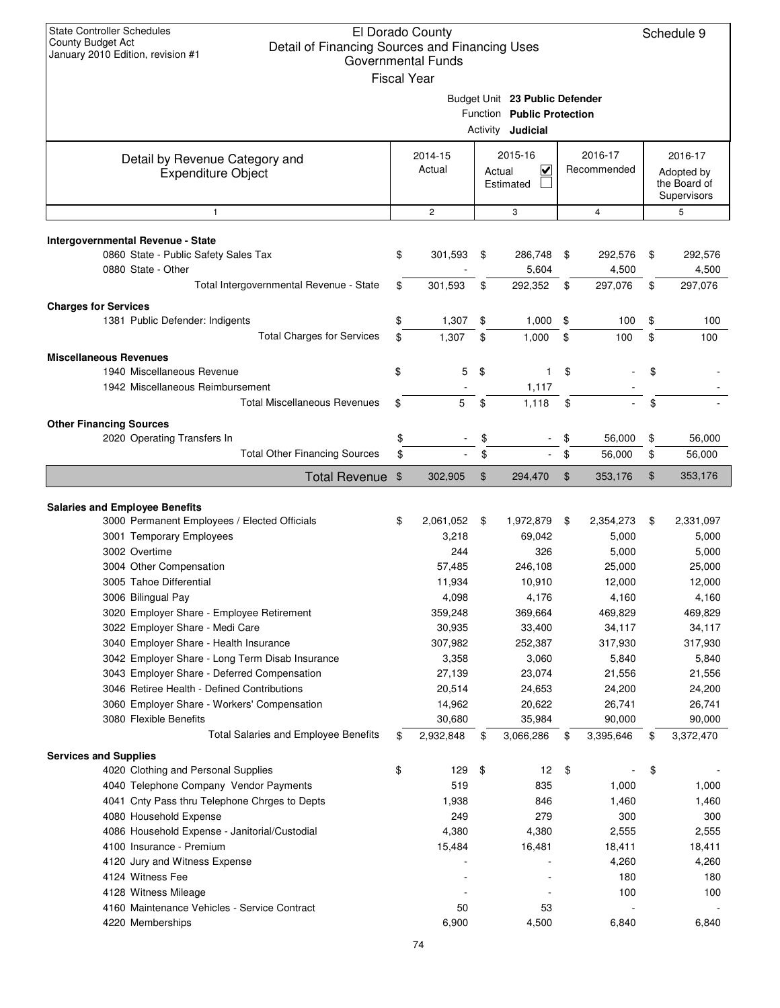| <b>State Controller Schedules</b><br><b>County Budget Act</b><br>Detail of Financing Sources and Financing Uses<br>January 2010 Edition, revision #1 | El Dorado County<br><b>Governmental Funds</b><br><b>Fiscal Year</b> |        |                                                                                          |       |                        | Schedule 9                                           |
|------------------------------------------------------------------------------------------------------------------------------------------------------|---------------------------------------------------------------------|--------|------------------------------------------------------------------------------------------|-------|------------------------|------------------------------------------------------|
|                                                                                                                                                      |                                                                     |        | Budget Unit 23 Public Defender<br>Function Public Protection<br>Activity <b>Judicial</b> |       |                        |                                                      |
| Detail by Revenue Category and<br><b>Expenditure Object</b>                                                                                          | 2014-15<br>Actual                                                   | Actual | 2015-16<br>V<br>Estimated                                                                |       | 2016-17<br>Recommended | 2016-17<br>Adopted by<br>the Board of<br>Supervisors |
| $\mathbf{1}$                                                                                                                                         | $\mathbf{2}$                                                        |        | 3                                                                                        |       | $\overline{4}$         | 5                                                    |
| Intergovernmental Revenue - State<br>0860 State - Public Safety Sales Tax<br>0880 State - Other                                                      | \$<br>301,593                                                       | \$     | 286,748<br>5,604                                                                         | \$    | 292,576<br>4,500       | \$<br>292,576<br>4,500                               |
| Total Intergovernmental Revenue - State                                                                                                              | \$<br>301,593                                                       | \$     | 292,352                                                                                  | \$    | 297,076                | \$<br>297,076                                        |
| <b>Charges for Services</b><br>1381 Public Defender: Indigents                                                                                       | \$<br>1,307                                                         | \$     | 1,000                                                                                    | \$    | 100                    | \$<br>100                                            |
| <b>Total Charges for Services</b>                                                                                                                    | \$<br>1,307                                                         | \$     | 1,000                                                                                    | \$    | 100                    | \$<br>100                                            |
| <b>Miscellaneous Revenues</b><br>1940 Miscellaneous Revenue<br>1942 Miscellaneous Reimbursement                                                      | \$<br>5                                                             | \$     | $\mathbf{1}$                                                                             | \$    |                        | \$                                                   |
| <b>Total Miscellaneous Revenues</b>                                                                                                                  | \$<br>5                                                             | \$     | 1,117<br>1,118                                                                           | \$    |                        | \$                                                   |
| <b>Other Financing Sources</b>                                                                                                                       |                                                                     |        |                                                                                          |       |                        |                                                      |
| 2020 Operating Transfers In                                                                                                                          | \$                                                                  | \$     |                                                                                          | \$    | 56,000                 | \$<br>56,000                                         |
| <b>Total Other Financing Sources</b>                                                                                                                 | \$                                                                  | \$     |                                                                                          | \$    | 56,000                 | \$<br>56,000                                         |
| <b>Total Revenue</b>                                                                                                                                 | \$<br>302,905                                                       | $\$\$  | 294,470                                                                                  | $\$\$ | 353,176                | \$<br>353,176                                        |
|                                                                                                                                                      |                                                                     |        |                                                                                          |       |                        |                                                      |
| <b>Salaries and Employee Benefits</b><br>3000 Permanent Employees / Elected Officials                                                                | \$<br>2,061,052                                                     | \$     | 1,972,879                                                                                | \$    | 2,354,273              | \$<br>2,331,097                                      |
| 3001 Temporary Employees                                                                                                                             | 3,218                                                               |        | 69,042                                                                                   |       | 5,000                  | 5,000                                                |
| 3002 Overtime                                                                                                                                        | 244                                                                 |        | 326                                                                                      |       | 5,000                  | 5,000                                                |
| 3004 Other Compensation                                                                                                                              | 57,485                                                              |        | 246,108                                                                                  |       | 25,000                 | 25,000                                               |
| 3005 Tahoe Differential                                                                                                                              | 11,934                                                              |        | 10,910                                                                                   |       | 12,000                 | 12,000                                               |
| 3006 Bilingual Pay                                                                                                                                   | 4,098                                                               |        | 4,176                                                                                    |       | 4,160                  | 4,160                                                |
| 3020 Employer Share - Employee Retirement                                                                                                            | 359,248                                                             |        | 369,664                                                                                  |       | 469,829                | 469,829                                              |
| 3022 Employer Share - Medi Care                                                                                                                      | 30,935                                                              |        | 33,400                                                                                   |       | 34,117                 | 34,117                                               |
| 3040 Employer Share - Health Insurance<br>3042 Employer Share - Long Term Disab Insurance                                                            | 307,982<br>3,358                                                    |        | 252,387<br>3,060                                                                         |       | 317,930<br>5,840       | 317,930<br>5,840                                     |
| 3043 Employer Share - Deferred Compensation                                                                                                          | 27,139                                                              |        | 23,074                                                                                   |       | 21,556                 | 21,556                                               |
| 3046 Retiree Health - Defined Contributions                                                                                                          | 20,514                                                              |        | 24,653                                                                                   |       | 24,200                 | 24,200                                               |
| 3060 Employer Share - Workers' Compensation                                                                                                          | 14,962                                                              |        | 20,622                                                                                   |       | 26,741                 | 26,741                                               |
| 3080 Flexible Benefits                                                                                                                               | 30,680                                                              |        | 35,984                                                                                   |       | 90,000                 | 90,000                                               |
| <b>Total Salaries and Employee Benefits</b>                                                                                                          | \$<br>2,932,848                                                     | \$     | 3,066,286                                                                                | \$    | 3,395,646              | \$<br>3,372,470                                      |
| <b>Services and Supplies</b>                                                                                                                         |                                                                     |        |                                                                                          |       |                        |                                                      |
| 4020 Clothing and Personal Supplies                                                                                                                  | \$<br>129                                                           | \$     | 12                                                                                       | \$    |                        | \$                                                   |
| 4040 Telephone Company Vendor Payments                                                                                                               | 519                                                                 |        | 835                                                                                      |       | 1,000                  | 1,000                                                |
| 4041 Cnty Pass thru Telephone Chrges to Depts                                                                                                        | 1,938                                                               |        | 846                                                                                      |       | 1,460                  | 1,460                                                |
| 4080 Household Expense                                                                                                                               | 249                                                                 |        | 279<br>4,380                                                                             |       | 300                    | 300                                                  |
| 4086 Household Expense - Janitorial/Custodial<br>4100 Insurance - Premium                                                                            | 4,380<br>15,484                                                     |        | 16,481                                                                                   |       | 2,555<br>18,411        | 2,555<br>18,411                                      |
| 4120 Jury and Witness Expense                                                                                                                        |                                                                     |        |                                                                                          |       | 4,260                  | 4,260                                                |
| 4124 Witness Fee                                                                                                                                     |                                                                     |        |                                                                                          |       | 180                    | 180                                                  |
| 4128 Witness Mileage                                                                                                                                 |                                                                     |        |                                                                                          |       | 100                    | 100                                                  |
| 4160 Maintenance Vehicles - Service Contract                                                                                                         | 50                                                                  |        | 53                                                                                       |       |                        |                                                      |
| 4220 Memberships                                                                                                                                     | 6,900                                                               |        | 4,500                                                                                    |       | 6,840                  | 6,840                                                |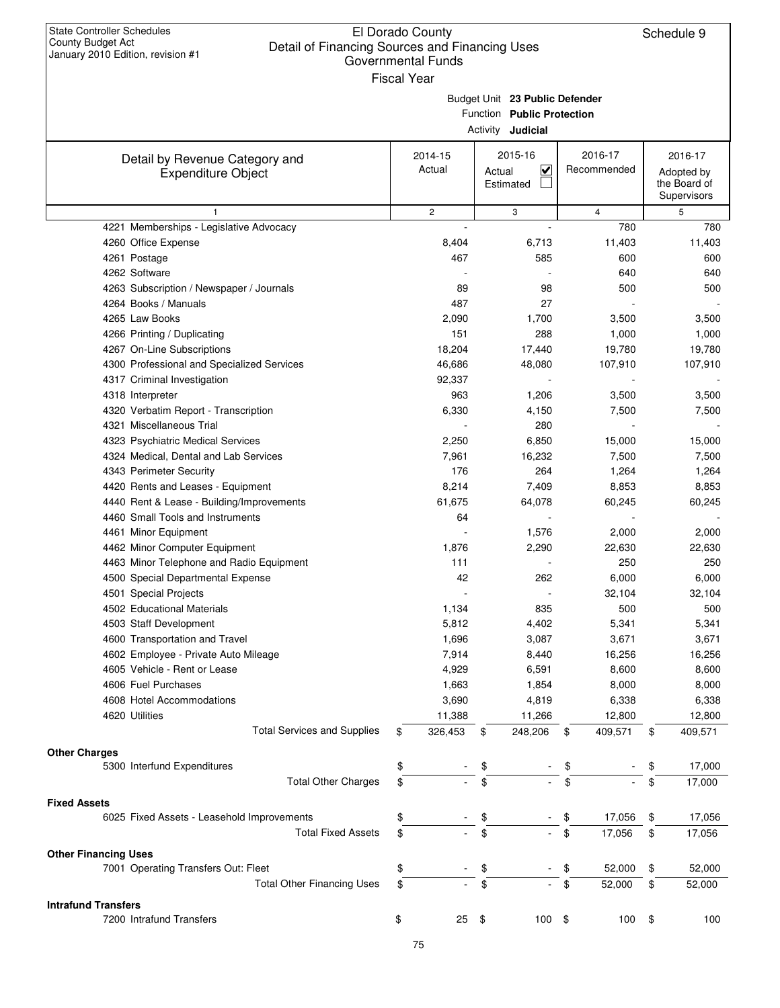| <b>State Controller Schedules</b><br>County Budget Act<br>Detail of Financing Sources and Financing Uses<br>January 2010 Edition, revision #1 | El Dorado County<br>Governmental Funds |                                                                                          |                        | Schedule 9                                           |
|-----------------------------------------------------------------------------------------------------------------------------------------------|----------------------------------------|------------------------------------------------------------------------------------------|------------------------|------------------------------------------------------|
|                                                                                                                                               | <b>Fiscal Year</b>                     | Budget Unit 23 Public Defender<br>Function Public Protection<br>Activity <b>Judicial</b> |                        |                                                      |
| Detail by Revenue Category and<br><b>Expenditure Object</b>                                                                                   | 2014-15<br>Actual                      | 2015-16<br>$\overline{\mathbf{v}}$<br>Actual<br>Estimated                                | 2016-17<br>Recommended | 2016-17<br>Adopted by<br>the Board of<br>Supervisors |
| 1                                                                                                                                             | $\sqrt{2}$                             | 3                                                                                        | 4                      | 5                                                    |
| 4221 Memberships - Legislative Advocacy                                                                                                       |                                        |                                                                                          | 780                    | 780                                                  |
| 4260 Office Expense                                                                                                                           | 8,404                                  | 6,713                                                                                    | 11,403                 | 11,403                                               |
| 4261 Postage                                                                                                                                  | 467                                    | 585                                                                                      | 600                    | 600                                                  |
| 4262 Software                                                                                                                                 |                                        |                                                                                          | 640                    | 640                                                  |
| 4263 Subscription / Newspaper / Journals                                                                                                      | 89                                     | 98                                                                                       | 500                    | 500                                                  |
| 4264 Books / Manuals                                                                                                                          | 487                                    | 27                                                                                       |                        |                                                      |
| 4265 Law Books                                                                                                                                | 2,090                                  | 1,700                                                                                    | 3,500                  | 3,500                                                |
| 4266 Printing / Duplicating                                                                                                                   | 151                                    | 288                                                                                      | 1,000                  | 1,000                                                |
| 4267 On-Line Subscriptions                                                                                                                    | 18,204                                 | 17,440                                                                                   | 19,780                 | 19,780                                               |
| 4300 Professional and Specialized Services                                                                                                    | 46,686                                 | 48,080                                                                                   | 107,910                | 107,910                                              |
| 4317 Criminal Investigation                                                                                                                   | 92,337                                 |                                                                                          |                        |                                                      |
| 4318 Interpreter                                                                                                                              | 963                                    | 1,206                                                                                    | 3,500                  | 3,500                                                |
| 4320 Verbatim Report - Transcription                                                                                                          | 6,330                                  | 4,150                                                                                    | 7,500                  | 7,500                                                |
| 4321 Miscellaneous Trial                                                                                                                      |                                        | 280                                                                                      |                        |                                                      |
| 4323 Psychiatric Medical Services                                                                                                             | 2,250                                  | 6,850                                                                                    | 15,000                 | 15,000                                               |
| 4324 Medical, Dental and Lab Services                                                                                                         | 7,961                                  | 16,232                                                                                   | 7,500                  | 7,500                                                |
| 4343 Perimeter Security                                                                                                                       | 176                                    | 264                                                                                      | 1,264                  | 1,264                                                |
| 4420 Rents and Leases - Equipment                                                                                                             | 8,214                                  | 7,409                                                                                    | 8,853                  | 8,853                                                |
| 4440 Rent & Lease - Building/Improvements                                                                                                     | 61,675                                 | 64,078                                                                                   | 60,245                 | 60,245                                               |
| 4460 Small Tools and Instruments                                                                                                              | 64                                     |                                                                                          |                        |                                                      |
| 4461 Minor Equipment                                                                                                                          |                                        | 1,576                                                                                    | 2,000                  | 2,000                                                |
| 4462 Minor Computer Equipment                                                                                                                 | 1,876                                  | 2,290                                                                                    | 22,630                 | 22,630                                               |
| 4463 Minor Telephone and Radio Equipment                                                                                                      | 111                                    |                                                                                          | 250                    | 250                                                  |
| 4500 Special Departmental Expense                                                                                                             | 42                                     | 262                                                                                      | 6,000                  | 6,000                                                |
| 4501 Special Projects                                                                                                                         |                                        | $\overline{\phantom{a}}$                                                                 | 32,104                 | 32,104                                               |
| 4502 Educational Materials                                                                                                                    | 1,134                                  | 835                                                                                      | 500                    | 500                                                  |
| 4503 Staff Development                                                                                                                        | 5,812                                  | 4,402                                                                                    | 5,341                  | 5,341                                                |
| 4600 Transportation and Travel                                                                                                                | 1,696                                  | 3,087                                                                                    | 3,671                  | 3,671                                                |
| 4602 Employee - Private Auto Mileage                                                                                                          | 7,914                                  | 8,440                                                                                    | 16,256                 | 16,256                                               |
| 4605 Vehicle - Rent or Lease                                                                                                                  | 4,929                                  | 6,591                                                                                    | 8,600                  | 8,600                                                |
| 4606 Fuel Purchases                                                                                                                           | 1,663                                  | 1,854                                                                                    | 8,000                  | 8,000                                                |
| 4608 Hotel Accommodations                                                                                                                     | 3,690                                  | 4,819                                                                                    | 6,338                  | 6,338                                                |
| 4620 Utilities                                                                                                                                | 11,388                                 | 11,266                                                                                   | 12,800                 | 12,800                                               |
| <b>Total Services and Supplies</b>                                                                                                            | 326,453<br>\$                          | 248,206<br>\$                                                                            | 409,571<br>\$          | \$<br>409,571                                        |
| <b>Other Charges</b>                                                                                                                          |                                        |                                                                                          |                        |                                                      |
| 5300 Interfund Expenditures                                                                                                                   | \$                                     | \$                                                                                       | \$                     | \$<br>17,000                                         |
| <b>Total Other Charges</b>                                                                                                                    | \$                                     | \$                                                                                       | \$                     | \$<br>17,000                                         |
|                                                                                                                                               |                                        |                                                                                          |                        |                                                      |
| <b>Fixed Assets</b>                                                                                                                           |                                        |                                                                                          |                        |                                                      |
| 6025 Fixed Assets - Leasehold Improvements                                                                                                    | \$                                     | \$                                                                                       | 17,056<br>\$           | \$<br>17,056                                         |
| <b>Total Fixed Assets</b>                                                                                                                     | \$                                     | \$                                                                                       | \$<br>17,056           | \$<br>17,056                                         |
| <b>Other Financing Uses</b>                                                                                                                   |                                        |                                                                                          |                        |                                                      |
| 7001 Operating Transfers Out: Fleet                                                                                                           | \$                                     | \$                                                                                       | 52,000<br>\$           | \$<br>52,000                                         |
| <b>Total Other Financing Uses</b>                                                                                                             | \$                                     | \$                                                                                       | \$<br>52,000           | \$<br>52,000                                         |
| <b>Intrafund Transfers</b>                                                                                                                    |                                        |                                                                                          |                        |                                                      |
| 7200 Intrafund Transfers                                                                                                                      | \$<br>$25$ \$                          | 100                                                                                      | - \$<br>100            | \$<br>100                                            |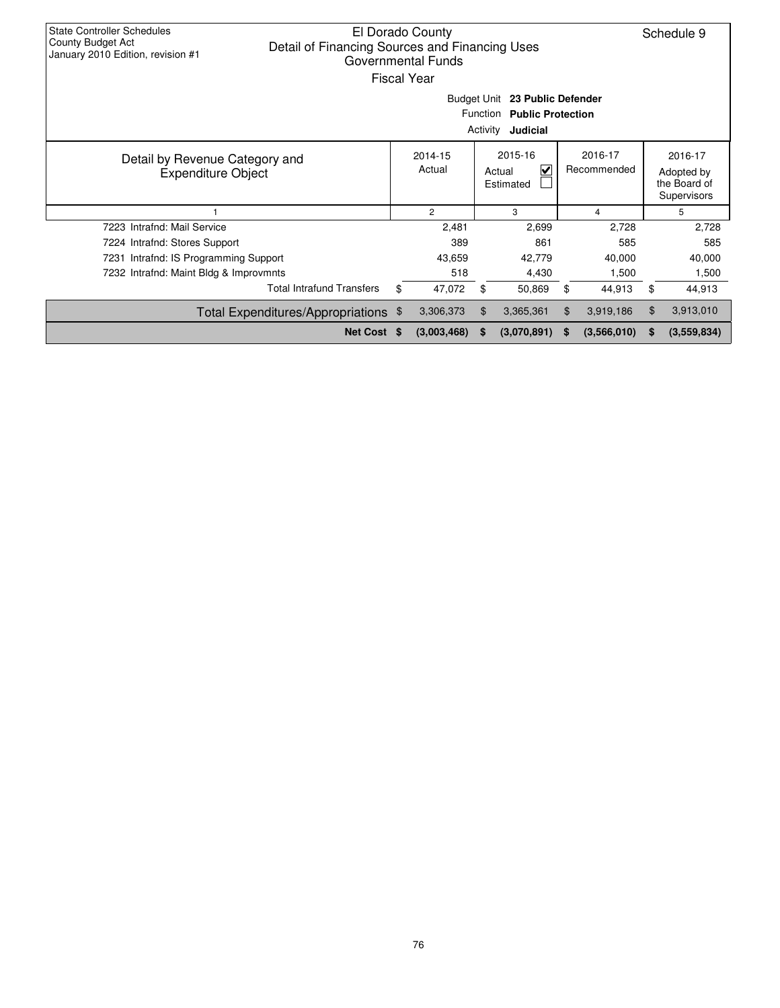| <b>State Controller Schedules</b><br>County Budget Act<br>January 2010 Edition, revision #1 | Detail of Financing Sources and Financing Uses | El Dorado County<br>Governmental Funds<br>Fiscal Year |          |                                                                            |    |             |       | Schedule 9                                           |
|---------------------------------------------------------------------------------------------|------------------------------------------------|-------------------------------------------------------|----------|----------------------------------------------------------------------------|----|-------------|-------|------------------------------------------------------|
|                                                                                             |                                                | Budget Unit                                           | Function | 23 Public Defender<br><b>Public Protection</b><br>Activity <b>Judicial</b> |    |             |       |                                                      |
| Detail by Revenue Category and<br><b>Expenditure Object</b>                                 |                                                | 2014-15<br>Actual                                     |          | 2015-16<br>2016-17<br>$\checkmark$<br>Recommended<br>Actual<br>Estimated   |    |             |       | 2016-17<br>Adopted by<br>the Board of<br>Supervisors |
|                                                                                             |                                                | $\overline{2}$                                        |          | 3                                                                          |    | 4           |       | 5                                                    |
| 7223 Intrafnd: Mail Service                                                                 |                                                | 2,481                                                 |          | 2,699                                                                      |    | 2,728       |       | 2,728                                                |
| 7224 Intrafnd: Stores Support                                                               |                                                | 389                                                   |          | 861                                                                        |    | 585         |       | 585                                                  |
| 7231 Intrafnd: IS Programming Support                                                       |                                                | 43,659                                                |          | 42,779                                                                     |    | 40,000      |       | 40,000                                               |
| 7232 Intrafnd: Maint Bldg & Improvmnts                                                      |                                                | 518                                                   |          | 4,430                                                                      |    | 1,500       |       | 1,500                                                |
|                                                                                             | <b>Total Intrafund Transfers</b>               | \$<br>47,072                                          | \$       | 50,869                                                                     | \$ | 44,913      | \$    | 44,913                                               |
|                                                                                             | Total Expenditures/Appropriations \$           | 3,306,373                                             | \$       | 3,365,361                                                                  | \$ | 3,919,186   | $\$\$ | 3,913,010                                            |
|                                                                                             | Net Cost \$                                    | (3,003,468)                                           | S.       | (3,070,891)                                                                | S  | (3,566,010) | S     | (3,559,834)                                          |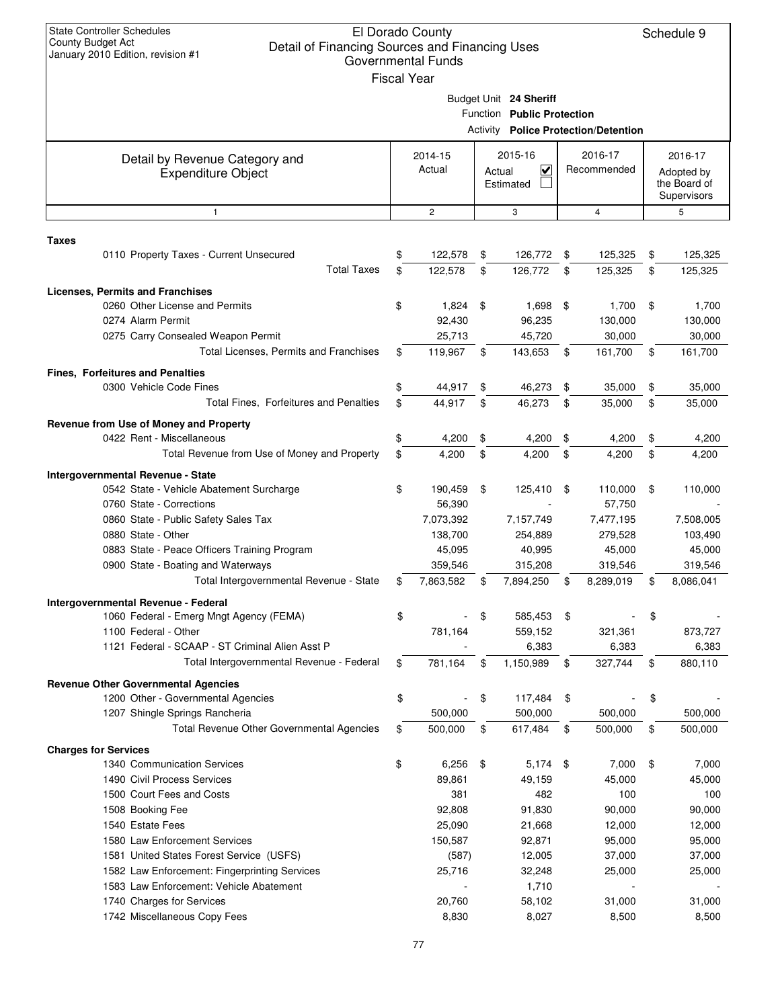| <b>State Controller Schedules</b><br><b>County Budget Act</b><br>Detail of Financing Sources and Financing Uses<br>January 2010 Edition, revision #1 |          | El Dorado County<br><b>Governmental Funds</b><br><b>Fiscal Year</b> |          |                                                      |          |                                             |          | Schedule 9                                           |
|------------------------------------------------------------------------------------------------------------------------------------------------------|----------|---------------------------------------------------------------------|----------|------------------------------------------------------|----------|---------------------------------------------|----------|------------------------------------------------------|
|                                                                                                                                                      |          |                                                                     |          | Budget Unit 24 Sheriff<br>Function Public Protection |          | <b>Activity Police Protection/Detention</b> |          |                                                      |
|                                                                                                                                                      |          |                                                                     |          |                                                      |          |                                             |          |                                                      |
| Detail by Revenue Category and<br><b>Expenditure Object</b>                                                                                          |          | 2014-15<br>Actual                                                   | Actual   | 2015-16<br>V<br>Estimated                            |          | 2016-17<br>Recommended                      |          | 2016-17<br>Adopted by<br>the Board of<br>Supervisors |
| $\mathbf{1}$                                                                                                                                         |          | $\overline{2}$                                                      |          | 3                                                    |          | 4                                           |          | 5                                                    |
|                                                                                                                                                      |          |                                                                     |          |                                                      |          |                                             |          |                                                      |
| Taxes<br>0110 Property Taxes - Current Unsecured<br><b>Total Taxes</b>                                                                               | \$<br>\$ | 122,578<br>122,578                                                  | \$<br>\$ | 126,772<br>126,772                                   | \$<br>\$ | 125,325<br>125,325                          | \$<br>\$ | 125,325<br>125,325                                   |
| <b>Licenses, Permits and Franchises</b>                                                                                                              |          |                                                                     |          |                                                      |          |                                             |          |                                                      |
| 0260 Other License and Permits<br>0274 Alarm Permit<br>0275 Carry Consealed Weapon Permit                                                            | \$       | 1,824<br>92,430<br>25,713                                           | \$       | 1,698<br>96,235<br>45,720                            | - \$     | 1,700<br>130,000<br>30,000                  | \$       | 1,700<br>130,000<br>30,000                           |
| Total Licenses, Permits and Franchises                                                                                                               | \$       | 119,967                                                             | \$       | 143,653                                              | \$       | 161,700                                     | \$       | 161,700                                              |
| <b>Fines. Forfeitures and Penalties</b>                                                                                                              |          |                                                                     |          |                                                      |          |                                             |          |                                                      |
| 0300 Vehicle Code Fines                                                                                                                              | \$       | 44,917                                                              | \$       | 46,273                                               | \$       | 35,000                                      | \$       | 35,000                                               |
| Total Fines, Forfeitures and Penalties                                                                                                               | \$       | 44,917                                                              | \$       | 46,273                                               | \$       | 35,000                                      | \$       | 35,000                                               |
| Revenue from Use of Money and Property                                                                                                               |          |                                                                     |          |                                                      |          |                                             |          |                                                      |
| 0422 Rent - Miscellaneous                                                                                                                            | \$       | 4,200                                                               | \$       | 4,200                                                | \$       | 4,200                                       | \$       | 4,200                                                |
| Total Revenue from Use of Money and Property                                                                                                         | \$       | 4,200                                                               | \$       | 4,200                                                | \$       | 4,200                                       | \$       | 4,200                                                |
| Intergovernmental Revenue - State                                                                                                                    |          |                                                                     |          |                                                      |          |                                             |          |                                                      |
| 0542 State - Vehicle Abatement Surcharge                                                                                                             | \$       | 190,459                                                             | \$       | 125,410                                              | \$       | 110,000                                     | \$       | 110,000                                              |
| 0760 State - Corrections<br>0860 State - Public Safety Sales Tax                                                                                     |          | 56,390<br>7,073,392                                                 |          | 7,157,749                                            |          | 57,750<br>7,477,195                         |          | 7,508,005                                            |
| 0880 State - Other                                                                                                                                   |          | 138,700                                                             |          | 254,889                                              |          | 279,528                                     |          | 103,490                                              |
| 0883 State - Peace Officers Training Program                                                                                                         |          | 45,095                                                              |          | 40,995                                               |          | 45,000                                      |          | 45,000                                               |
| 0900 State - Boating and Waterways                                                                                                                   |          | 359,546                                                             |          | 315,208                                              |          | 319,546                                     |          | 319,546                                              |
| Total Intergovernmental Revenue - State                                                                                                              | \$       | 7,863,582                                                           | \$       | 7,894,250                                            | \$       | 8,289,019                                   | \$       | 8,086,041                                            |
| Intergovernmental Revenue - Federal                                                                                                                  |          |                                                                     |          |                                                      |          |                                             |          |                                                      |
| 1060 Federal - Emerg Mngt Agency (FEMA)                                                                                                              | \$       |                                                                     | \$       | 585,453                                              | \$       |                                             | \$       |                                                      |
| 1100 Federal - Other                                                                                                                                 |          | 781,164                                                             |          | 559,152                                              |          | 321,361                                     |          | 873,727                                              |
| 1121 Federal - SCAAP - ST Criminal Alien Asst P                                                                                                      |          |                                                                     |          | 6,383                                                |          | 6,383                                       |          | 6,383                                                |
| Total Intergovernmental Revenue - Federal                                                                                                            | \$       | 781,164                                                             | \$       | 1,150,989                                            | \$       | 327,744                                     | \$       | 880,110                                              |
| <b>Revenue Other Governmental Agencies</b>                                                                                                           |          |                                                                     |          |                                                      |          |                                             |          |                                                      |
| 1200 Other - Governmental Agencies                                                                                                                   | \$       |                                                                     | \$       | 117,484                                              | \$       |                                             | \$       |                                                      |
| 1207 Shingle Springs Rancheria                                                                                                                       |          | 500,000                                                             |          | 500,000                                              |          | 500,000                                     |          | 500,000                                              |
| Total Revenue Other Governmental Agencies                                                                                                            | \$       | 500,000                                                             | \$       | 617,484                                              | \$       | 500,000                                     | \$       | 500,000                                              |
| <b>Charges for Services</b>                                                                                                                          |          |                                                                     |          |                                                      |          |                                             |          |                                                      |
| 1340 Communication Services                                                                                                                          | \$       | 6,256                                                               | \$       | $5,174$ \$                                           |          | 7,000                                       | \$       | 7,000                                                |
| 1490 Civil Process Services                                                                                                                          |          | 89,861                                                              |          | 49,159                                               |          | 45,000                                      |          | 45,000                                               |
| 1500 Court Fees and Costs                                                                                                                            |          | 381                                                                 |          | 482                                                  |          | 100                                         |          | 100                                                  |
| 1508 Booking Fee                                                                                                                                     |          | 92,808                                                              |          | 91,830                                               |          | 90,000                                      |          | 90,000                                               |
| 1540 Estate Fees                                                                                                                                     |          | 25,090                                                              |          | 21,668                                               |          | 12,000                                      |          | 12,000                                               |
| 1580 Law Enforcement Services<br>1581 United States Forest Service (USFS)                                                                            |          | 150,587<br>(587)                                                    |          | 92,871<br>12,005                                     |          | 95,000<br>37,000                            |          | 95,000<br>37,000                                     |
| 1582 Law Enforcement: Fingerprinting Services                                                                                                        |          | 25,716                                                              |          | 32,248                                               |          | 25,000                                      |          | 25,000                                               |
| 1583 Law Enforcement: Vehicle Abatement                                                                                                              |          |                                                                     |          | 1,710                                                |          |                                             |          |                                                      |
| 1740 Charges for Services                                                                                                                            |          | 20,760                                                              |          | 58,102                                               |          | 31,000                                      |          | 31,000                                               |
| 1742 Miscellaneous Copy Fees                                                                                                                         |          | 8,830                                                               |          | 8,027                                                |          | 8,500                                       |          | 8,500                                                |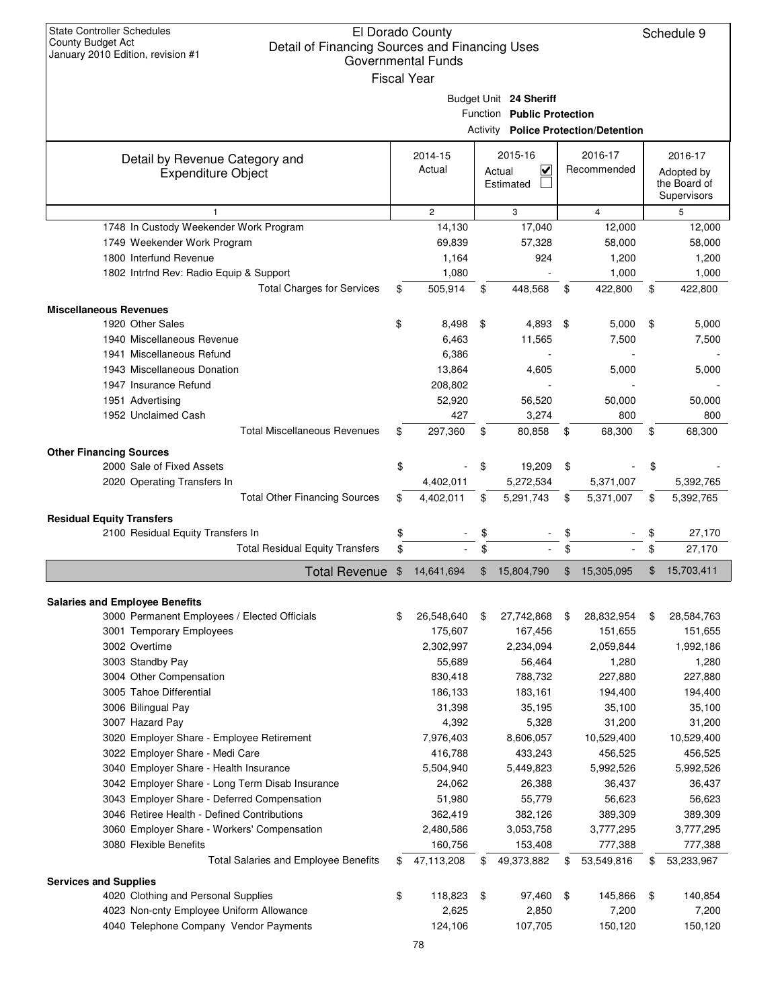| <b>State Controller Schedules</b><br><b>County Budget Act</b><br>Detail of Financing Sources and Financing Uses<br>January 2010 Edition, revision #1 | El Dorado County<br><b>Governmental Funds</b><br><b>Fiscal Year</b> |       |                                   |     |                                             | Schedule 9       |
|------------------------------------------------------------------------------------------------------------------------------------------------------|---------------------------------------------------------------------|-------|-----------------------------------|-----|---------------------------------------------|------------------|
|                                                                                                                                                      |                                                                     |       | Budget Unit 24 Sheriff            |     |                                             |                  |
|                                                                                                                                                      |                                                                     |       | Function Public Protection        |     |                                             |                  |
|                                                                                                                                                      |                                                                     |       |                                   |     | <b>Activity Police Protection/Detention</b> |                  |
|                                                                                                                                                      | 2014-15                                                             |       | 2015-16                           |     | 2016-17                                     | 2016-17          |
| Detail by Revenue Category and                                                                                                                       | Actual                                                              |       | $\overline{\mathsf{v}}$<br>Actual |     | Recommended                                 | Adopted by       |
| <b>Expenditure Object</b>                                                                                                                            |                                                                     |       | Estimated                         |     |                                             | the Board of     |
|                                                                                                                                                      |                                                                     |       |                                   |     |                                             | Supervisors      |
| $\mathbf{1}$                                                                                                                                         | $\overline{2}$                                                      |       | 3                                 |     | $\overline{4}$                              | 5                |
| 1748 In Custody Weekender Work Program                                                                                                               | 14,130                                                              |       | 17,040                            |     | 12,000                                      | 12,000           |
| 1749 Weekender Work Program                                                                                                                          | 69,839                                                              |       | 57,328                            |     | 58,000                                      | 58,000           |
| 1800 Interfund Revenue                                                                                                                               | 1,164                                                               |       | 924                               |     | 1,200                                       | 1,200            |
| 1802 Intrfnd Rev: Radio Equip & Support                                                                                                              | 1,080                                                               |       |                                   |     | 1,000                                       | 1,000            |
| <b>Total Charges for Services</b>                                                                                                                    | \$<br>505,914                                                       | \$    | 448,568                           | \$  | 422,800                                     | \$<br>422,800    |
| <b>Miscellaneous Revenues</b>                                                                                                                        |                                                                     |       |                                   |     |                                             |                  |
| 1920 Other Sales                                                                                                                                     | \$<br>8,498                                                         | \$    | 4,893                             | -\$ | 5,000                                       | \$<br>5,000      |
| 1940 Miscellaneous Revenue                                                                                                                           | 6,463                                                               |       | 11,565                            |     | 7,500                                       | 7,500            |
| 1941 Miscellaneous Refund                                                                                                                            | 6,386                                                               |       |                                   |     |                                             |                  |
| 1943 Miscellaneous Donation                                                                                                                          | 13,864                                                              |       | 4,605                             |     | 5,000                                       | 5,000            |
| 1947 Insurance Refund                                                                                                                                | 208,802                                                             |       |                                   |     |                                             |                  |
| 1951 Advertising                                                                                                                                     | 52,920                                                              |       | 56,520                            |     | 50,000                                      | 50,000           |
| 1952 Unclaimed Cash                                                                                                                                  | 427                                                                 |       | 3,274                             |     | 800                                         | 800              |
| <b>Total Miscellaneous Revenues</b>                                                                                                                  | \$<br>297,360                                                       | \$    | 80,858                            | \$  | 68,300                                      | \$<br>68,300     |
|                                                                                                                                                      |                                                                     |       |                                   |     |                                             |                  |
| <b>Other Financing Sources</b>                                                                                                                       |                                                                     |       |                                   |     |                                             |                  |
| 2000 Sale of Fixed Assets                                                                                                                            | \$                                                                  | \$    | 19,209                            | \$  |                                             | \$               |
| 2020 Operating Transfers In                                                                                                                          | 4,402,011                                                           |       | 5,272,534                         |     | 5,371,007                                   | 5,392,765        |
| <b>Total Other Financing Sources</b>                                                                                                                 | \$<br>4,402,011                                                     | \$    | 5,291,743                         | \$  | 5,371,007                                   | \$<br>5,392,765  |
| <b>Residual Equity Transfers</b>                                                                                                                     |                                                                     |       |                                   |     |                                             |                  |
| 2100 Residual Equity Transfers In                                                                                                                    | \$                                                                  | \$    |                                   | \$  |                                             | \$<br>27,170     |
| <b>Total Residual Equity Transfers</b>                                                                                                               | \$                                                                  | \$    |                                   | \$  |                                             | \$<br>27,170     |
| <b>Total Revenue</b>                                                                                                                                 | \$<br>14,641,694                                                    | $\$\$ | 15,804,790                        | \$  | 15,305,095                                  | \$<br>15,703,411 |
| <b>Salaries and Employee Benefits</b>                                                                                                                |                                                                     |       |                                   |     |                                             |                  |
| 3000 Permanent Employees / Elected Officials                                                                                                         | \$<br>26,548,640                                                    | \$    | 27,742,868                        | \$  | 28,832,954                                  | \$<br>28,584,763 |
| 3001 Temporary Employees                                                                                                                             | 175,607                                                             |       | 167,456                           |     | 151,655                                     | 151,655          |
| 3002 Overtime                                                                                                                                        | 2,302,997                                                           |       | 2,234,094                         |     | 2,059,844                                   | 1,992,186        |
| 3003 Standby Pay                                                                                                                                     | 55,689                                                              |       | 56,464                            |     | 1,280                                       | 1,280            |
| 3004 Other Compensation                                                                                                                              | 830,418                                                             |       | 788,732                           |     | 227,880                                     | 227,880          |
| 3005 Tahoe Differential                                                                                                                              | 186,133                                                             |       | 183,161                           |     | 194,400                                     | 194,400          |
| 3006 Bilingual Pay                                                                                                                                   | 31,398                                                              |       | 35,195                            |     | 35,100                                      | 35,100           |
| 3007 Hazard Pay                                                                                                                                      | 4,392                                                               |       | 5,328                             |     | 31,200                                      | 31,200           |
| 3020 Employer Share - Employee Retirement                                                                                                            | 7,976,403                                                           |       | 8,606,057                         |     | 10,529,400                                  | 10,529,400       |
| 3022 Employer Share - Medi Care                                                                                                                      | 416,788                                                             |       | 433,243                           |     | 456,525                                     | 456,525          |
| 3040 Employer Share - Health Insurance                                                                                                               | 5,504,940                                                           |       | 5,449,823                         |     | 5,992,526                                   | 5,992,526        |
| 3042 Employer Share - Long Term Disab Insurance                                                                                                      | 24,062                                                              |       | 26,388                            |     | 36,437                                      | 36,437           |
| 3043 Employer Share - Deferred Compensation                                                                                                          | 51,980                                                              |       | 55,779                            |     | 56,623                                      | 56,623           |
| 3046 Retiree Health - Defined Contributions                                                                                                          | 362,419                                                             |       | 382,126                           |     | 389,309                                     | 389,309          |
| 3060 Employer Share - Workers' Compensation                                                                                                          | 2,480,586                                                           |       | 3,053,758                         |     | 3,777,295                                   | 3,777,295        |
| 3080 Flexible Benefits                                                                                                                               | 160,756                                                             |       | 153,408                           |     | 777,388                                     | 777,388          |
| <b>Total Salaries and Employee Benefits</b>                                                                                                          | \$                                                                  |       | 49,373,882                        |     | 53,549,816                                  |                  |
|                                                                                                                                                      | 47,113,208                                                          | \$    |                                   | \$  |                                             | \$<br>53,233,967 |
| <b>Services and Supplies</b>                                                                                                                         |                                                                     |       |                                   |     |                                             |                  |
| 4020 Clothing and Personal Supplies                                                                                                                  | \$<br>118,823                                                       | \$    | 97,460                            | -\$ | 145,866                                     | \$<br>140,854    |
| 4023 Non-cnty Employee Uniform Allowance                                                                                                             | 2,625                                                               |       | 2,850                             |     | 7,200                                       | 7,200            |
| 4040 Telephone Company Vendor Payments                                                                                                               | 124,106                                                             |       | 107,705                           |     | 150,120                                     | 150,120          |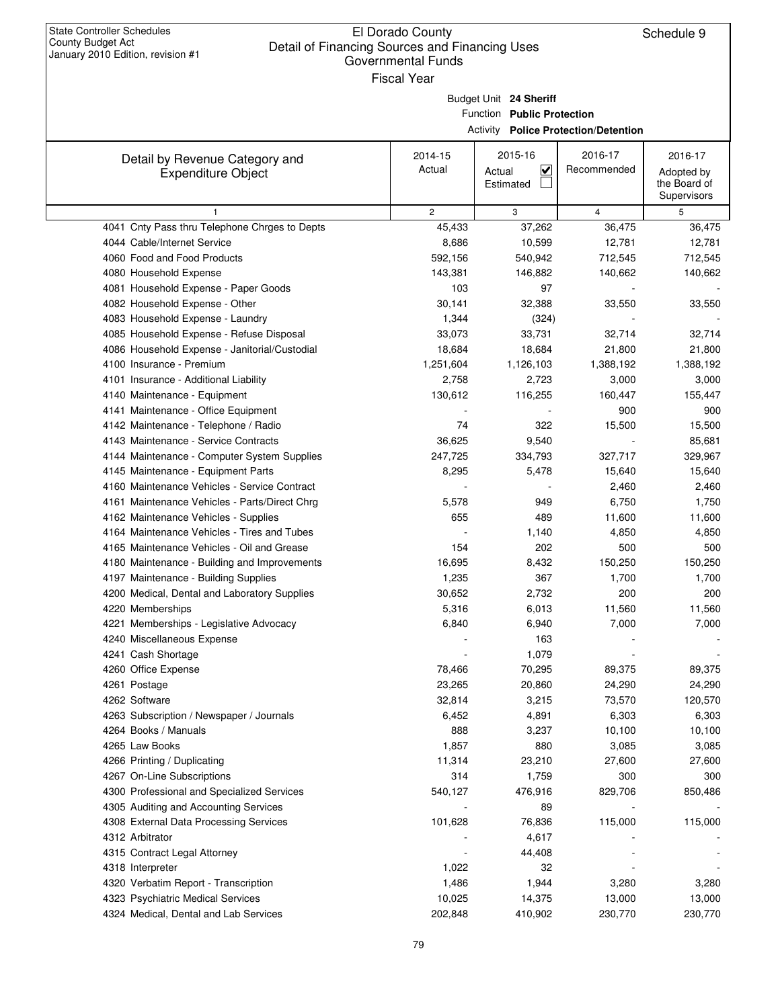## El Dorado County Detail of Financing Sources and Financing Uses Governmental Funds

| $\alpha$ ilualy zviv Lullivii, itevisivii $\pi$ i | Governmental Funds |                                   |                                             |                             |
|---------------------------------------------------|--------------------|-----------------------------------|---------------------------------------------|-----------------------------|
|                                                   | <b>Fiscal Year</b> |                                   |                                             |                             |
|                                                   |                    | Budget Unit 24 Sheriff            |                                             |                             |
|                                                   |                    | Function Public Protection        |                                             |                             |
|                                                   |                    |                                   | <b>Activity Police Protection/Detention</b> |                             |
|                                                   |                    |                                   |                                             |                             |
| Detail by Revenue Category and                    | 2014-15            | 2015-16                           | 2016-17                                     | 2016-17                     |
| <b>Expenditure Object</b>                         | Actual             | $\overline{\mathbf{v}}$<br>Actual | Recommended                                 | Adopted by                  |
|                                                   |                    | Estimated                         |                                             | the Board of<br>Supervisors |
| $\mathbf{1}$                                      | $\overline{2}$     | 3                                 | $\overline{4}$                              | 5                           |
| 4041 Cnty Pass thru Telephone Chrges to Depts     | 45,433             | 37,262                            | 36,475                                      | 36,475                      |
| 4044 Cable/Internet Service                       | 8,686              | 10,599                            | 12,781                                      | 12,781                      |
| 4060 Food and Food Products                       | 592,156            | 540,942                           | 712,545                                     | 712,545                     |
| 4080 Household Expense                            | 143,381            | 146,882                           | 140,662                                     | 140,662                     |
| 4081 Household Expense - Paper Goods              | 103                | 97                                |                                             |                             |
| 4082 Household Expense - Other                    | 30,141             | 32,388                            | 33,550                                      | 33,550                      |
| 4083 Household Expense - Laundry                  | 1,344              | (324)                             |                                             |                             |
| 4085 Household Expense - Refuse Disposal          | 33,073             | 33,731                            | 32,714                                      | 32,714                      |
| 4086 Household Expense - Janitorial/Custodial     | 18,684             | 18,684                            | 21,800                                      | 21,800                      |
| 4100 Insurance - Premium                          | 1,251,604          | 1,126,103                         | 1,388,192                                   | 1,388,192                   |
| 4101 Insurance - Additional Liability             | 2,758              | 2,723                             | 3,000                                       | 3,000                       |
| 4140 Maintenance - Equipment                      | 130,612            | 116,255                           | 160,447                                     | 155,447                     |
| 4141 Maintenance - Office Equipment               |                    |                                   | 900                                         | 900                         |
| 4142 Maintenance - Telephone / Radio              | 74                 | 322                               | 15,500                                      | 15,500                      |
| 4143 Maintenance - Service Contracts              | 36,625             | 9,540                             |                                             | 85,681                      |
| 4144 Maintenance - Computer System Supplies       | 247,725            | 334,793                           | 327,717                                     | 329,967                     |
| 4145 Maintenance - Equipment Parts                | 8,295              | 5,478                             | 15,640                                      | 15,640                      |
| 4160 Maintenance Vehicles - Service Contract      |                    |                                   | 2,460                                       | 2,460                       |
| 4161 Maintenance Vehicles - Parts/Direct Chrg     | 5,578              | 949                               | 6,750                                       | 1,750                       |
| 4162 Maintenance Vehicles - Supplies              | 655                | 489                               | 11,600                                      | 11,600                      |
| 4164 Maintenance Vehicles - Tires and Tubes       |                    | 1,140                             | 4,850                                       | 4,850                       |
| 4165 Maintenance Vehicles - Oil and Grease        | 154                | 202                               | 500                                         | 500                         |
| 4180 Maintenance - Building and Improvements      | 16,695             | 8,432                             | 150,250                                     | 150,250                     |
| 4197 Maintenance - Building Supplies              | 1,235              | 367                               | 1,700                                       | 1,700                       |
| 4200 Medical, Dental and Laboratory Supplies      | 30,652             | 2,732                             | 200                                         | 200                         |
| 4220 Memberships                                  | 5,316              | 6,013                             | 11,560                                      | 11,560                      |
| 4221 Memberships - Legislative Advocacy           | 6,840              | 6,940                             | 7,000                                       | 7,000                       |
| 4240 Miscellaneous Expense                        |                    | 163                               |                                             |                             |
| 4241 Cash Shortage                                |                    | 1,079                             |                                             |                             |
| 4260 Office Expense                               | 78,466             | 70,295                            | 89,375                                      | 89,375                      |
| 4261 Postage                                      | 23,265             | 20,860                            | 24,290                                      | 24,290                      |
| 4262 Software                                     | 32,814             | 3,215                             | 73,570                                      | 120,570                     |
| 4263 Subscription / Newspaper / Journals          | 6,452              | 4,891                             | 6,303                                       | 6,303                       |
| 4264 Books / Manuals                              | 888                | 3,237                             | 10,100                                      | 10,100                      |
| 4265 Law Books                                    | 1,857              | 880                               | 3,085                                       | 3,085                       |
| 4266 Printing / Duplicating                       | 11,314             | 23,210                            | 27,600                                      | 27,600                      |
| 4267 On-Line Subscriptions                        | 314                | 1,759                             | 300                                         | 300                         |
| 4300 Professional and Specialized Services        | 540,127            | 476,916                           | 829,706                                     | 850,486                     |
| 4305 Auditing and Accounting Services             |                    | 89                                |                                             |                             |
| 4308 External Data Processing Services            | 101,628            | 76,836                            | 115,000                                     | 115,000                     |
| 4312 Arbitrator                                   |                    | 4,617                             |                                             |                             |
| 4315 Contract Legal Attorney                      |                    | 44,408                            |                                             |                             |
| 4318 Interpreter                                  | 1,022              | 32                                |                                             |                             |
| 4320 Verbatim Report - Transcription              | 1,486              | 1,944                             | 3,280                                       | 3,280                       |
| 4323 Psychiatric Medical Services                 | 10,025             | 14,375                            | 13,000                                      | 13,000                      |
| 4324 Medical, Dental and Lab Services             | 202,848            | 410,902                           | 230,770                                     | 230,770                     |
|                                                   |                    |                                   |                                             |                             |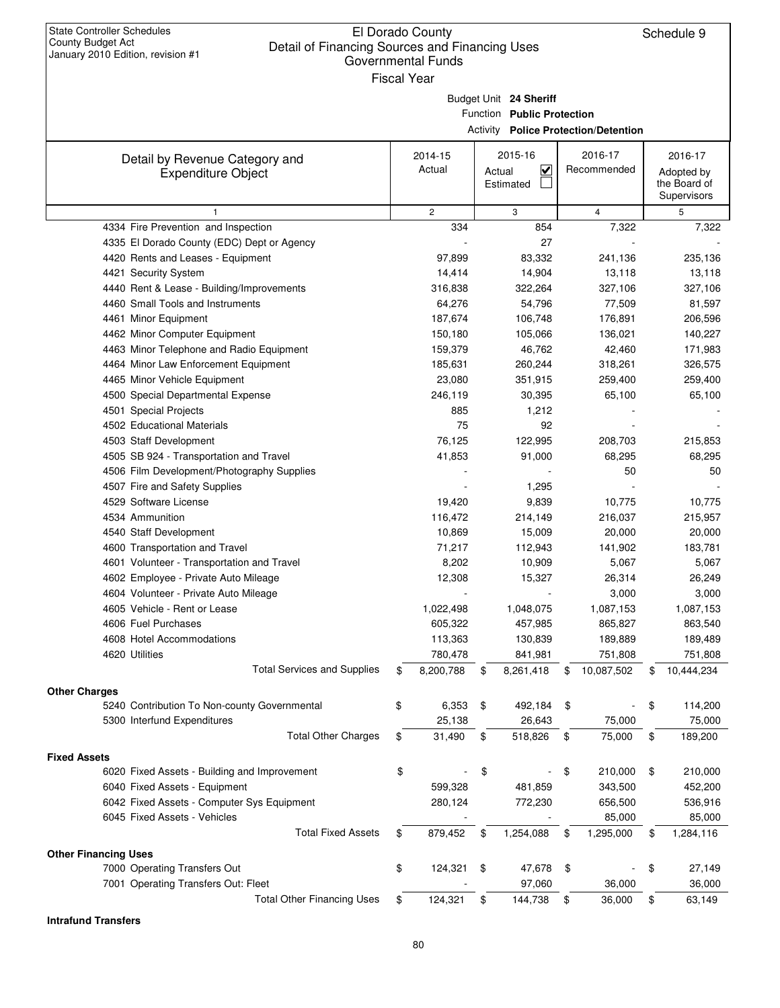## El Dorado County Governmental Funds

| <b>County Budget Act</b><br>Detail of Financing Sources and Financing Uses<br>January 2010 Edition, revision #1 | Li Dorago Godrity<br><b>Governmental Funds</b><br><b>Fiscal Year</b> |                                                      |                                             | <b>Principally</b>                                   |
|-----------------------------------------------------------------------------------------------------------------|----------------------------------------------------------------------|------------------------------------------------------|---------------------------------------------|------------------------------------------------------|
|                                                                                                                 |                                                                      | Budget Unit 24 Sheriff<br>Function Public Protection | <b>Activity Police Protection/Detention</b> |                                                      |
| Detail by Revenue Category and<br><b>Expenditure Object</b>                                                     | 2014-15<br>Actual                                                    | 2015-16<br>$\checkmark$<br>Actual<br>Estimated       | 2016-17<br>Recommended                      | 2016-17<br>Adopted by<br>the Board of<br>Supervisors |
| $\mathbf{1}$                                                                                                    | $\overline{c}$                                                       | 3                                                    | $\overline{4}$                              | 5                                                    |
| 4334 Fire Prevention and Inspection                                                                             | 334                                                                  | 854                                                  | 7,322                                       | 7,322                                                |
| 4335 El Dorado County (EDC) Dept or Agency                                                                      |                                                                      | 27                                                   |                                             |                                                      |
| 4420 Rents and Leases - Equipment                                                                               | 97,899                                                               | 83,332                                               | 241,136                                     | 235,136                                              |
| 4421 Security System                                                                                            | 14,414                                                               | 14,904                                               | 13,118                                      | 13,118                                               |
| 4440 Rent & Lease - Building/Improvements                                                                       | 316,838                                                              | 322,264                                              | 327,106                                     | 327,106                                              |
| 4460 Small Tools and Instruments                                                                                | 64,276                                                               | 54,796                                               | 77,509                                      | 81,597                                               |
| 4461 Minor Equipment                                                                                            | 187,674                                                              | 106,748                                              | 176,891                                     | 206,596                                              |
| 4462 Minor Computer Equipment                                                                                   | 150,180                                                              | 105,066                                              | 136,021                                     | 140,227                                              |
| 4463 Minor Telephone and Radio Equipment                                                                        | 159,379                                                              | 46,762                                               | 42,460                                      | 171,983                                              |
| 4464 Minor Law Enforcement Equipment                                                                            | 185,631                                                              | 260,244                                              | 318,261                                     | 326,575                                              |
| 4465 Minor Vehicle Equipment                                                                                    | 23,080                                                               | 351,915                                              | 259,400                                     | 259,400                                              |
| 4500 Special Departmental Expense                                                                               | 246,119                                                              | 30,395                                               | 65,100                                      | 65,100                                               |
| 4501 Special Projects                                                                                           | 885                                                                  | 1,212                                                |                                             |                                                      |
| 4502 Educational Materials                                                                                      | 75                                                                   | 92                                                   |                                             |                                                      |
| 4503 Staff Development                                                                                          | 76,125                                                               | 122,995                                              | 208,703                                     | 215,853                                              |
| 4505 SB 924 - Transportation and Travel                                                                         | 41,853                                                               | 91,000                                               | 68,295                                      | 68,295                                               |
| 4506 Film Development/Photography Supplies                                                                      |                                                                      |                                                      | 50                                          | 50                                                   |
| 4507 Fire and Safety Supplies                                                                                   |                                                                      | 1,295                                                |                                             |                                                      |
| 4529 Software License                                                                                           | 19,420                                                               | 9,839                                                | 10,775                                      | 10,775                                               |
| 4534 Ammunition                                                                                                 | 116,472                                                              | 214,149                                              | 216,037                                     | 215,957                                              |
| 4540 Staff Development                                                                                          | 10,869                                                               | 15,009                                               | 20,000                                      | 20,000                                               |
| 4600 Transportation and Travel                                                                                  | 71,217                                                               | 112,943                                              | 141,902                                     | 183,781                                              |
| 4601 Volunteer - Transportation and Travel                                                                      | 8,202                                                                | 10,909                                               | 5,067                                       | 5,067                                                |
| 4602 Employee - Private Auto Mileage                                                                            | 12,308                                                               | 15,327                                               | 26,314                                      | 26,249                                               |
| 4604 Volunteer - Private Auto Mileage                                                                           |                                                                      |                                                      | 3,000                                       | 3,000                                                |
| 4605 Vehicle - Rent or Lease                                                                                    | 1,022,498                                                            | 1,048,075                                            | 1,087,153                                   | 1,087,153                                            |
| 4606 Fuel Purchases                                                                                             | 605,322                                                              | 457,985                                              | 865,827                                     | 863,540                                              |
| 4608 Hotel Accommodations                                                                                       | 113,363                                                              | 130,839                                              | 189,889                                     | 189,489                                              |
| 4620 Utilities<br><b>Total Services and Supplies</b>                                                            | \$<br>780,478<br>8,200,788                                           | \$<br>841,981<br>8,261,418                           | \$<br>751,808<br>10,087,502                 | \$<br>751,808<br>10,444,234                          |
|                                                                                                                 |                                                                      |                                                      |                                             |                                                      |
| <b>Other Charges</b>                                                                                            |                                                                      |                                                      |                                             |                                                      |
| 5240 Contribution To Non-county Governmental                                                                    | \$<br>6,353                                                          | \$<br>492,184                                        | \$                                          | \$<br>114,200                                        |
| 5300 Interfund Expenditures<br><b>Total Other Charges</b>                                                       | \$<br>25,138<br>31,490                                               | \$<br>26,643<br>518,826                              | \$<br>75,000<br>75,000                      | \$<br>75,000<br>189,200                              |
| <b>Fixed Assets</b>                                                                                             |                                                                      |                                                      |                                             |                                                      |
| 6020 Fixed Assets - Building and Improvement                                                                    | \$                                                                   | \$                                                   | \$<br>210,000                               | \$<br>210,000                                        |
| 6040 Fixed Assets - Equipment                                                                                   | 599,328                                                              | 481,859                                              | 343,500                                     | 452,200                                              |
| 6042 Fixed Assets - Computer Sys Equipment                                                                      | 280,124                                                              | 772,230                                              | 656,500                                     | 536,916                                              |
| 6045 Fixed Assets - Vehicles                                                                                    |                                                                      |                                                      | 85,000                                      | 85,000                                               |
| <b>Total Fixed Assets</b>                                                                                       | \$<br>879,452                                                        | \$<br>1,254,088                                      | \$<br>1,295,000                             | \$<br>1,284,116                                      |
|                                                                                                                 |                                                                      |                                                      |                                             |                                                      |

**Other Financing Uses** 7000 Operating Transfers Out 124,321 \$47,678 \$9

7001 Operating Transfers Out: Fleet  $\overline{ }$  97,060 36,000 36,000 36,000 Total Other Financing Uses  $$ 124,321 \over $ 144,738 \over $ 36,000 \over $ 63,149$ 

**Intrafund Transfers**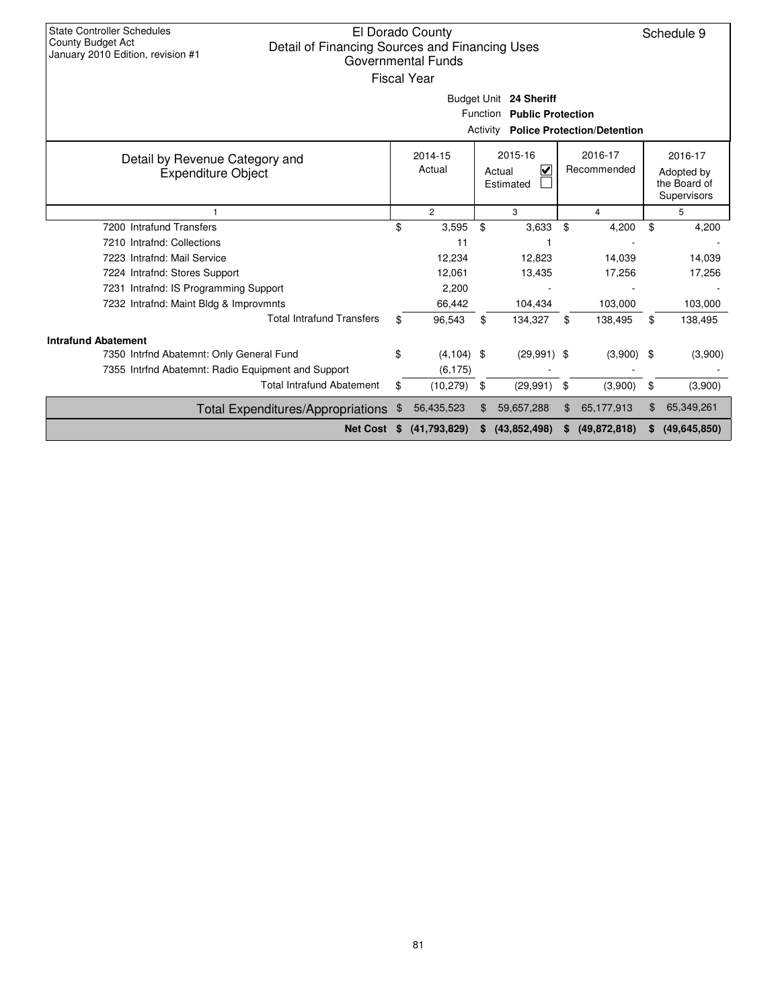| <b>State Controller Schedules</b><br>County Budget Act<br>Detail of Financing Sources and Financing Uses<br>January 2010 Edition, revision #1 |                                                                                                                                                                  | El Dorado County<br>Governmental Funds<br><b>Fiscal Year</b> |          | Budget Unit 24 Sheriff     |    |                                    |    | Schedule 9   |  |  |
|-----------------------------------------------------------------------------------------------------------------------------------------------|------------------------------------------------------------------------------------------------------------------------------------------------------------------|--------------------------------------------------------------|----------|----------------------------|----|------------------------------------|----|--------------|--|--|
|                                                                                                                                               |                                                                                                                                                                  |                                                              | Activity | Function Public Protection |    | <b>Police Protection/Detention</b> |    |              |  |  |
| Detail by Revenue Category and<br><b>Expenditure Object</b>                                                                                   | 2015-16<br>2016-17<br>2016-17<br>2014-15<br>Actual<br>$\overline{\mathsf{v}}$<br>Recommended<br>Actual<br>Adopted by<br>Estimated<br>the Board of<br>Supervisors |                                                              |          |                            |    |                                    |    |              |  |  |
|                                                                                                                                               | $\overline{2}$<br>3<br>5<br>4                                                                                                                                    |                                                              |          |                            |    |                                    |    |              |  |  |
| 7200 Intrafund Transfers                                                                                                                      | \$                                                                                                                                                               | 3,595                                                        | \$       | 3,633                      | \$ | 4,200                              | \$ | 4,200        |  |  |
| 7210 Intrafnd: Collections                                                                                                                    |                                                                                                                                                                  | 11                                                           |          |                            |    |                                    |    |              |  |  |
| 7223 Intrafnd: Mail Service                                                                                                                   |                                                                                                                                                                  | 12,234                                                       |          | 12.823                     |    | 14,039                             |    | 14,039       |  |  |
| 7224 Intrafnd: Stores Support                                                                                                                 |                                                                                                                                                                  | 12,061                                                       |          | 13,435                     |    | 17,256                             |    | 17,256       |  |  |
| 7231 Intrafnd: IS Programming Support                                                                                                         |                                                                                                                                                                  | 2,200                                                        |          |                            |    |                                    |    |              |  |  |
| 7232 Intrafnd: Maint Bldg & Improvmnts                                                                                                        |                                                                                                                                                                  | 66,442                                                       |          | 104,434                    |    | 103,000                            |    | 103,000      |  |  |
| <b>Total Intrafund Transfers</b>                                                                                                              | \$                                                                                                                                                               | 96,543                                                       | \$       | 134,327                    | \$ | 138,495                            | \$ | 138,495      |  |  |
| <b>Intrafund Abatement</b>                                                                                                                    |                                                                                                                                                                  |                                                              |          |                            |    |                                    |    |              |  |  |
| 7350 Intrfnd Abatemnt: Only General Fund                                                                                                      | \$                                                                                                                                                               | $(4, 104)$ \$                                                |          | $(29,991)$ \$              |    | $(3,900)$ \$                       |    | (3,900)      |  |  |
| 7355 Intrfnd Abatemnt: Radio Equipment and Support                                                                                            |                                                                                                                                                                  | (6, 175)                                                     |          |                            |    |                                    |    |              |  |  |
| <b>Total Intrafund Abatement</b>                                                                                                              | \$                                                                                                                                                               | (10, 279)                                                    | \$       | (29, 991)                  | \$ | (3,900)                            | \$ | (3,900)      |  |  |
| <b>Total Expenditures/Appropriations</b>                                                                                                      |                                                                                                                                                                  | 56,435,523                                                   | \$       | 59,657,288                 | \$ | 65,177,913                         | \$ | 65,349,261   |  |  |
| <b>Net Cost</b>                                                                                                                               | S                                                                                                                                                                | (41,793,829)                                                 |          | (43, 852, 498)             | S  | (49, 872, 818)                     | S. | (49,645,850) |  |  |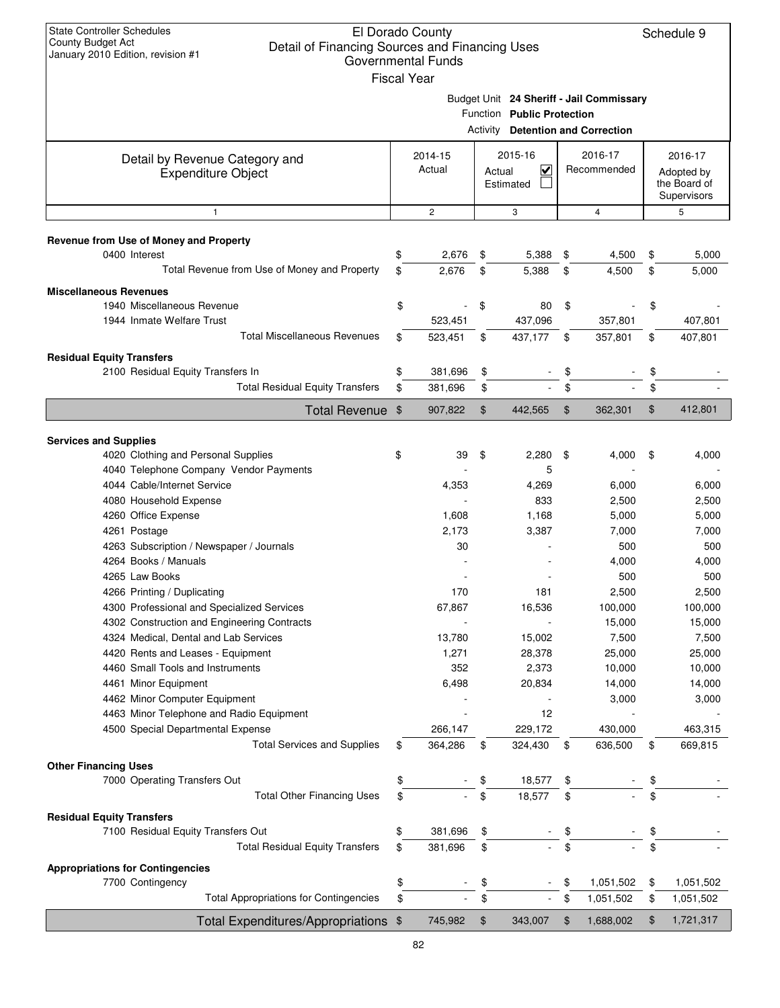| <b>State Controller Schedules</b><br>County Budget Act<br>Detail of Financing Sources and Financing Uses<br>January 2010 Edition, revision #1 |                | El Dorado County<br><b>Governmental Funds</b><br><b>Fiscal Year</b> |        |                            |          |                                          | Schedule 9                 |
|-----------------------------------------------------------------------------------------------------------------------------------------------|----------------|---------------------------------------------------------------------|--------|----------------------------|----------|------------------------------------------|----------------------------|
|                                                                                                                                               |                |                                                                     |        |                            |          | Budget Unit 24 Sheriff - Jail Commissary |                            |
|                                                                                                                                               |                |                                                                     |        | Function Public Protection |          |                                          |                            |
|                                                                                                                                               |                |                                                                     |        |                            |          | <b>Activity Detention and Correction</b> |                            |
|                                                                                                                                               |                |                                                                     |        |                            |          |                                          |                            |
| Detail by Revenue Category and                                                                                                                |                | 2014-15<br>Actual                                                   |        | 2015-16<br>$\checkmark$    |          | 2016-17<br>Recommended                   | 2016-17                    |
| <b>Expenditure Object</b>                                                                                                                     |                |                                                                     | Actual | Estimated                  |          |                                          | Adopted by<br>the Board of |
|                                                                                                                                               |                |                                                                     |        |                            |          |                                          | Supervisors                |
| $\mathbf{1}$                                                                                                                                  |                | $\overline{c}$                                                      |        | 3                          |          | 4                                        | 5                          |
|                                                                                                                                               |                |                                                                     |        |                            |          |                                          |                            |
| Revenue from Use of Money and Property<br>0400 Interest                                                                                       | \$             | 2,676                                                               | \$     | 5,388                      | \$       | 4,500                                    | \$<br>5,000                |
| Total Revenue from Use of Money and Property                                                                                                  | \$             | 2.676                                                               | \$     | 5,388                      | \$       | 4,500                                    | \$<br>5,000                |
|                                                                                                                                               |                |                                                                     |        |                            |          |                                          |                            |
| <b>Miscellaneous Revenues</b>                                                                                                                 |                |                                                                     |        |                            |          |                                          |                            |
| 1940 Miscellaneous Revenue                                                                                                                    | \$             |                                                                     | \$     | 80                         | \$       |                                          | \$                         |
| 1944 Inmate Welfare Trust                                                                                                                     |                | 523,451                                                             |        | 437,096                    |          | 357,801                                  | 407,801                    |
| <b>Total Miscellaneous Revenues</b>                                                                                                           | \$             | 523,451                                                             | \$     | 437,177                    | \$       | 357,801                                  | \$<br>407,801              |
| <b>Residual Equity Transfers</b>                                                                                                              |                |                                                                     |        |                            |          |                                          |                            |
| 2100 Residual Equity Transfers In                                                                                                             | \$             | 381,696                                                             | \$     |                            | \$       |                                          | \$                         |
| <b>Total Residual Equity Transfers</b>                                                                                                        | \$             | 381,696                                                             | \$     | ÷.                         | \$       |                                          | \$                         |
| <b>Total Revenue</b>                                                                                                                          | $\mathfrak{F}$ | 907,822                                                             | \$     | 442,565                    | \$       | 362,301                                  | \$<br>412,801              |
|                                                                                                                                               |                |                                                                     |        |                            |          |                                          |                            |
| <b>Services and Supplies</b>                                                                                                                  | \$             |                                                                     |        | 2,280                      |          |                                          |                            |
| 4020 Clothing and Personal Supplies<br>4040 Telephone Company Vendor Payments                                                                 |                | 39                                                                  | \$     | 5                          | \$       | 4,000                                    | \$<br>4,000                |
| 4044 Cable/Internet Service                                                                                                                   |                | 4,353                                                               |        | 4,269                      |          | 6,000                                    | 6,000                      |
| 4080 Household Expense                                                                                                                        |                |                                                                     |        | 833                        |          | 2,500                                    | 2,500                      |
| 4260 Office Expense                                                                                                                           |                | 1,608                                                               |        | 1,168                      |          | 5,000                                    | 5,000                      |
| 4261 Postage                                                                                                                                  |                | 2,173                                                               |        | 3,387                      |          | 7,000                                    | 7,000                      |
| 4263 Subscription / Newspaper / Journals                                                                                                      |                | 30                                                                  |        |                            |          | 500                                      | 500                        |
| 4264 Books / Manuals                                                                                                                          |                |                                                                     |        |                            |          | 4,000                                    | 4,000                      |
| 4265 Law Books                                                                                                                                |                |                                                                     |        |                            |          | 500                                      | 500                        |
| 4266 Printing / Duplicating                                                                                                                   |                | 170                                                                 |        | 181                        |          | 2,500                                    | 2,500                      |
| 4300 Professional and Specialized Services                                                                                                    |                | 67,867                                                              |        | 16,536                     |          | 100,000                                  | 100,000                    |
| 4302 Construction and Engineering Contracts                                                                                                   |                |                                                                     |        |                            |          | 15,000                                   | 15,000                     |
| 4324 Medical, Dental and Lab Services                                                                                                         |                | 13,780                                                              |        | 15,002                     |          | 7,500                                    | 7,500                      |
| 4420 Rents and Leases - Equipment                                                                                                             |                | 1,271                                                               |        | 28,378                     |          | 25,000                                   | 25,000                     |
| 4460 Small Tools and Instruments                                                                                                              |                | 352                                                                 |        | 2,373                      |          | 10,000                                   | 10,000                     |
| 4461 Minor Equipment                                                                                                                          |                | 6,498                                                               |        | 20,834                     |          | 14,000                                   | 14,000                     |
| 4462 Minor Computer Equipment                                                                                                                 |                |                                                                     |        |                            |          | 3,000                                    | 3,000                      |
| 4463 Minor Telephone and Radio Equipment                                                                                                      |                |                                                                     |        | 12                         |          |                                          |                            |
| 4500 Special Departmental Expense                                                                                                             |                | 266,147                                                             |        | 229,172                    |          | 430,000                                  | 463,315                    |
| <b>Total Services and Supplies</b>                                                                                                            | \$             | 364,286                                                             | \$     | 324,430                    | \$       | 636,500                                  | \$<br>669,815              |
| <b>Other Financing Uses</b>                                                                                                                   |                |                                                                     |        |                            |          |                                          |                            |
| 7000 Operating Transfers Out                                                                                                                  | \$             |                                                                     | \$     | 18,577                     | \$       |                                          | \$                         |
| <b>Total Other Financing Uses</b>                                                                                                             | \$             |                                                                     | \$     | 18,577                     | \$       |                                          |                            |
|                                                                                                                                               |                |                                                                     |        |                            |          |                                          |                            |
| <b>Residual Equity Transfers</b><br>7100 Residual Equity Transfers Out                                                                        | \$             | 381,696                                                             | \$     |                            | \$       |                                          | \$                         |
| <b>Total Residual Equity Transfers</b>                                                                                                        | \$             | 381,696                                                             | \$     |                            | \$       |                                          |                            |
|                                                                                                                                               |                |                                                                     |        |                            |          |                                          |                            |
| <b>Appropriations for Contingencies</b>                                                                                                       |                |                                                                     |        |                            |          |                                          |                            |
| 7700 Contingency<br><b>Total Appropriations for Contingencies</b>                                                                             | \$<br>\$       |                                                                     | \$     | $\blacksquare$             | \$<br>\$ | 1,051,502                                | \$<br>1,051,502            |
|                                                                                                                                               |                |                                                                     | \$     |                            |          | 1,051,502                                | \$<br>1,051,502            |
| Total Expenditures/Appropriations                                                                                                             | \$             | 745,982                                                             | \$     | 343,007                    | \$       | 1,688,002                                | \$<br>1,721,317            |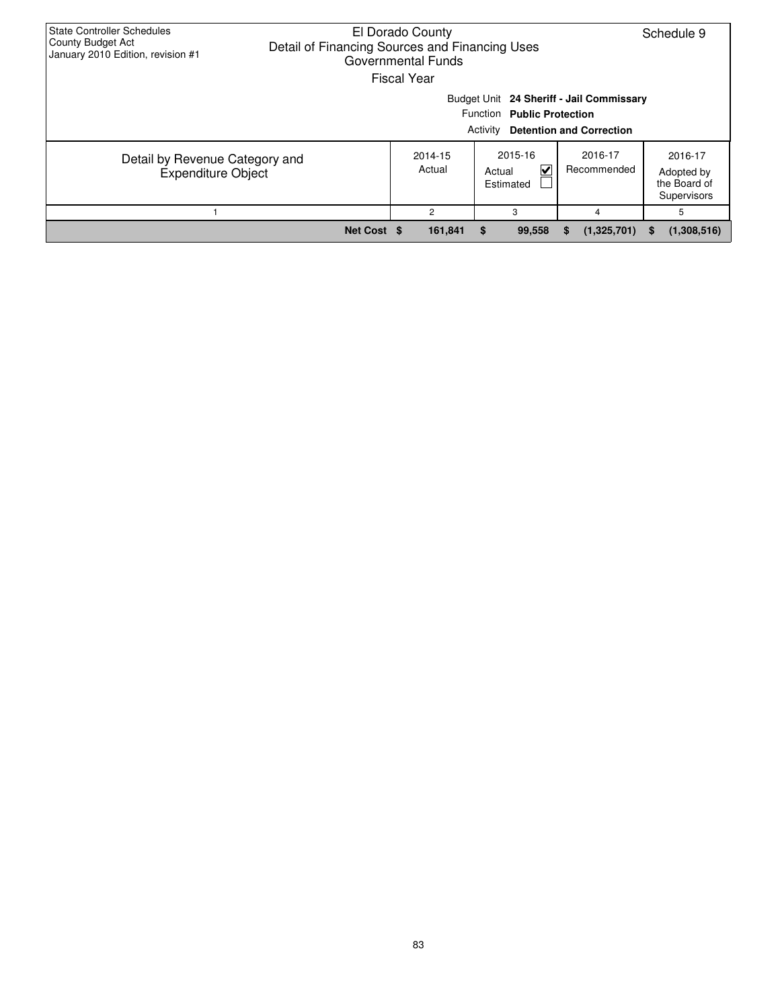| <b>State Controller Schedules</b><br>County Budget Act<br>January 2010 Edition, revision #1 | El Dorado County<br>Schedule 9<br>Detail of Financing Sources and Financing Uses<br>Governmental Funds<br><b>Fiscal Year</b> |                                                                                                                       |                                                        |                        |                                                      |  |  |  |  |  |  |  |
|---------------------------------------------------------------------------------------------|------------------------------------------------------------------------------------------------------------------------------|-----------------------------------------------------------------------------------------------------------------------|--------------------------------------------------------|------------------------|------------------------------------------------------|--|--|--|--|--|--|--|
|                                                                                             |                                                                                                                              | Budget Unit 24 Sheriff - Jail Commissary<br>Function Public Protection<br>Activity<br><b>Detention and Correction</b> |                                                        |                        |                                                      |  |  |  |  |  |  |  |
| Detail by Revenue Category and<br><b>Expenditure Object</b>                                 |                                                                                                                              | 2014-15<br>Actual                                                                                                     | 2015-16<br>$\blacktriangledown$<br>Actual<br>Estimated | 2016-17<br>Recommended | 2016-17<br>Adopted by<br>the Board of<br>Supervisors |  |  |  |  |  |  |  |
|                                                                                             |                                                                                                                              | 2                                                                                                                     | 3                                                      | 4                      | 5                                                    |  |  |  |  |  |  |  |
|                                                                                             | Net Cost \$                                                                                                                  | 161,841                                                                                                               | S<br>99,558                                            | (1,325,701)<br>S       | (1,308,516)<br>æ.                                    |  |  |  |  |  |  |  |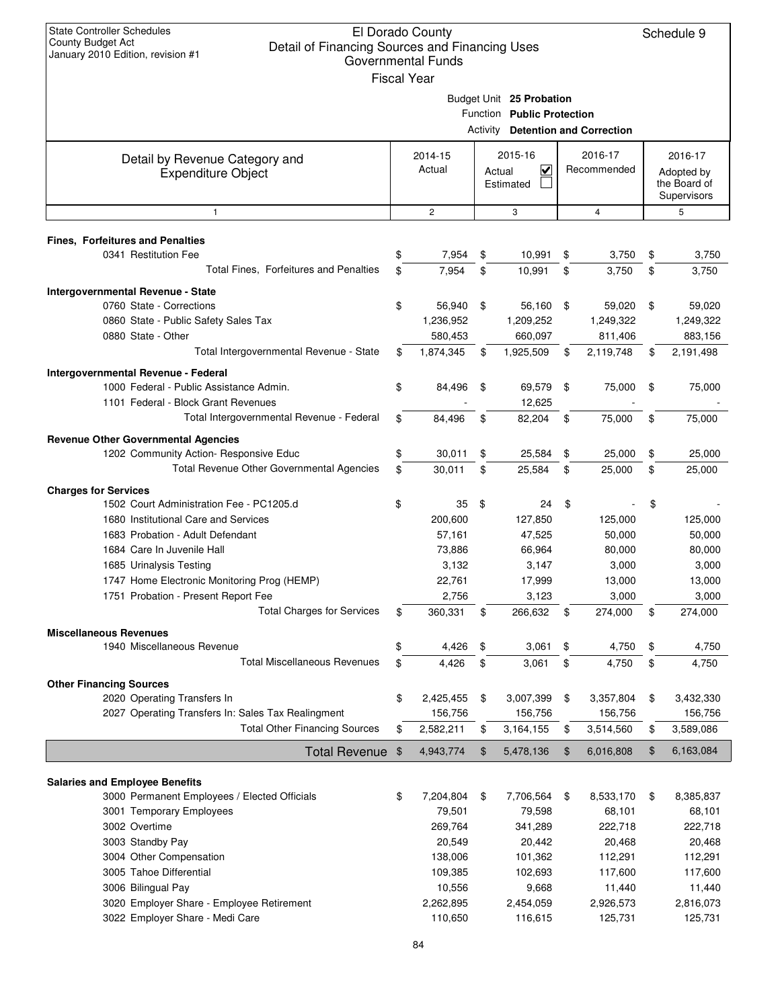| <b>State Controller Schedules</b><br>El Dorado County<br>County Budget Act<br>Detail of Financing Sources and Financing Uses<br>January 2010 Edition, revision #1<br><b>Governmental Funds</b><br><b>Fiscal Year</b> |    |                   |          |                                                        |    |                                 |    |                                                      |
|----------------------------------------------------------------------------------------------------------------------------------------------------------------------------------------------------------------------|----|-------------------|----------|--------------------------------------------------------|----|---------------------------------|----|------------------------------------------------------|
|                                                                                                                                                                                                                      |    |                   | Activity | Budget Unit 25 Probation<br>Function Public Protection |    | <b>Detention and Correction</b> |    |                                                      |
| Detail by Revenue Category and<br><b>Expenditure Object</b>                                                                                                                                                          |    | 2014-15<br>Actual | Actual   | 2015-16<br>V<br>Estimated                              |    | 2016-17<br>Recommended          |    | 2016-17<br>Adopted by<br>the Board of<br>Supervisors |
| $\mathbf{1}$                                                                                                                                                                                                         |    | $\overline{2}$    |          | 3                                                      |    | $\overline{4}$                  |    | 5                                                    |
| <b>Fines, Forfeitures and Penalties</b>                                                                                                                                                                              |    |                   |          |                                                        |    |                                 |    |                                                      |
| 0341 Restitution Fee                                                                                                                                                                                                 | \$ | 7,954             | \$       | 10,991                                                 | \$ | 3,750                           | \$ | 3,750                                                |
| Total Fines, Forfeitures and Penalties                                                                                                                                                                               | \$ | 7,954             | \$       | 10,991                                                 | \$ | 3,750                           | \$ | 3,750                                                |
| <b>Intergovernmental Revenue - State</b>                                                                                                                                                                             |    |                   |          |                                                        |    |                                 |    |                                                      |
| 0760 State - Corrections                                                                                                                                                                                             | \$ | 56,940            | \$       | 56,160                                                 | \$ | 59,020                          | \$ | 59,020                                               |
| 0860 State - Public Safety Sales Tax                                                                                                                                                                                 |    | 1,236,952         |          | 1,209,252                                              |    | 1,249,322                       |    | 1,249,322                                            |
| 0880 State - Other                                                                                                                                                                                                   |    | 580,453           |          | 660,097                                                |    | 811,406                         |    | 883,156                                              |
| Total Intergovernmental Revenue - State                                                                                                                                                                              | \$ | 1,874,345         | \$       | 1,925,509                                              | \$ | 2,119,748                       | \$ | 2,191,498                                            |
| Intergovernmental Revenue - Federal                                                                                                                                                                                  |    |                   |          |                                                        |    |                                 |    |                                                      |
| 1000 Federal - Public Assistance Admin.<br>1101 Federal - Block Grant Revenues                                                                                                                                       | \$ | 84,496            | \$       | 69,579<br>12,625                                       | \$ | 75,000                          | \$ | 75,000                                               |
| Total Intergovernmental Revenue - Federal                                                                                                                                                                            | \$ | 84,496            | \$       | 82,204                                                 | \$ | 75,000                          | \$ | 75,000                                               |
| <b>Revenue Other Governmental Agencies</b>                                                                                                                                                                           |    |                   |          |                                                        |    |                                 |    |                                                      |
| 1202 Community Action- Responsive Educ                                                                                                                                                                               | \$ | 30,011            | \$       | 25,584                                                 | \$ | 25,000                          | \$ | 25,000                                               |
| Total Revenue Other Governmental Agencies                                                                                                                                                                            | \$ | 30,011            | \$       | 25,584                                                 | \$ | 25,000                          | \$ | 25,000                                               |
|                                                                                                                                                                                                                      |    |                   |          |                                                        |    |                                 |    |                                                      |
| <b>Charges for Services</b><br>1502 Court Administration Fee - PC1205.d                                                                                                                                              | \$ | 35                | \$       | 24                                                     | \$ |                                 | \$ |                                                      |
| 1680 Institutional Care and Services                                                                                                                                                                                 |    | 200,600           |          | 127,850                                                |    | 125,000                         |    | 125,000                                              |
| 1683 Probation - Adult Defendant                                                                                                                                                                                     |    | 57,161            |          | 47,525                                                 |    | 50,000                          |    | 50,000                                               |
| 1684 Care In Juvenile Hall                                                                                                                                                                                           |    | 73,886            |          | 66,964                                                 |    | 80,000                          |    | 80,000                                               |
| 1685 Urinalysis Testing                                                                                                                                                                                              |    | 3,132             |          | 3,147                                                  |    | 3,000                           |    | 3,000                                                |
| 1747 Home Electronic Monitoring Prog (HEMP)                                                                                                                                                                          |    | 22,761            |          | 17,999                                                 |    | 13,000                          |    | 13,000                                               |
| 1751 Probation - Present Report Fee                                                                                                                                                                                  |    | 2,756             |          | 3,123                                                  |    | 3,000                           |    | 3,000                                                |
| <b>Total Charges for Services</b>                                                                                                                                                                                    | \$ | 360,331           | \$       | 266,632                                                | \$ | 274,000                         | \$ | 274,000                                              |
| <b>Miscellaneous Revenues</b>                                                                                                                                                                                        |    |                   |          |                                                        |    |                                 |    |                                                      |
| 1940 Miscellaneous Revenue                                                                                                                                                                                           | \$ | 4,426             | \$       | 3,061                                                  | \$ | 4,750                           | \$ | 4,750                                                |
| <b>Total Miscellaneous Revenues</b>                                                                                                                                                                                  | \$ | 4,426             | \$       | 3,061                                                  | \$ | 4,750                           | \$ | 4,750                                                |
| <b>Other Financing Sources</b>                                                                                                                                                                                       |    |                   |          |                                                        |    |                                 |    |                                                      |
| 2020 Operating Transfers In                                                                                                                                                                                          | \$ | 2,425,455         | \$       | 3,007,399                                              | \$ | 3,357,804                       | \$ | 3,432,330                                            |
| 2027 Operating Transfers In: Sales Tax Realingment                                                                                                                                                                   |    | 156,756           |          | 156,756                                                |    | 156,756                         |    | 156,756                                              |
| <b>Total Other Financing Sources</b>                                                                                                                                                                                 | \$ | 2,582,211         | \$       | 3,164,155                                              | \$ | 3,514,560                       | \$ | 3,589,086                                            |
|                                                                                                                                                                                                                      |    |                   |          |                                                        |    |                                 | \$ |                                                      |
| <b>Total Revenue</b>                                                                                                                                                                                                 | \$ | 4,943,774         | \$       | 5,478,136                                              | \$ | 6,016,808                       |    | 6,163,084                                            |
| <b>Salaries and Employee Benefits</b>                                                                                                                                                                                |    |                   |          |                                                        |    |                                 |    |                                                      |
| 3000 Permanent Employees / Elected Officials                                                                                                                                                                         | \$ | 7,204,804         | \$       | 7,706,564                                              | \$ | 8,533,170                       | \$ | 8,385,837                                            |
| 3001 Temporary Employees                                                                                                                                                                                             |    | 79,501            |          | 79,598                                                 |    | 68,101                          |    | 68,101                                               |
| 3002 Overtime                                                                                                                                                                                                        |    | 269,764           |          | 341,289                                                |    | 222,718                         |    | 222,718                                              |
| 3003 Standby Pay                                                                                                                                                                                                     |    | 20,549            |          | 20,442                                                 |    | 20,468                          |    | 20,468                                               |
| 3004 Other Compensation                                                                                                                                                                                              |    | 138,006           |          | 101,362                                                |    | 112,291                         |    | 112,291                                              |
| 3005 Tahoe Differential                                                                                                                                                                                              |    | 109,385           |          | 102,693                                                |    | 117,600                         |    | 117,600                                              |
| 3006 Bilingual Pay                                                                                                                                                                                                   |    | 10,556            |          | 9,668                                                  |    | 11,440                          |    | 11,440                                               |
| 3020 Employer Share - Employee Retirement                                                                                                                                                                            |    | 2,262,895         |          | 2,454,059                                              |    | 2,926,573                       |    | 2,816,073                                            |
| 3022 Employer Share - Medi Care                                                                                                                                                                                      |    | 110,650           |          | 116,615                                                |    | 125,731                         |    | 125,731                                              |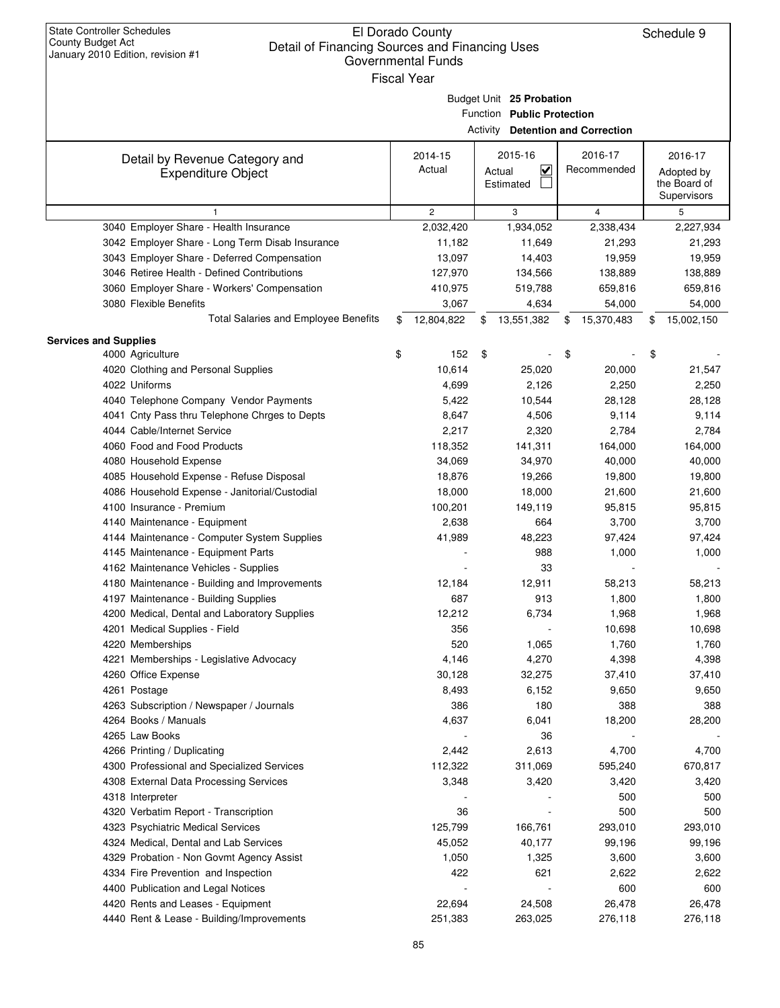## El Dorado County Detail of Financing Sources and Financing Uses Governmental Funds

| January 2010 Edition, revision #1<br>Governmental Funds                       |    |                             |    |                                          |    |                 |    |                 |  |  |  |
|-------------------------------------------------------------------------------|----|-----------------------------|----|------------------------------------------|----|-----------------|----|-----------------|--|--|--|
| <b>Fiscal Year</b><br>Budget Unit 25 Probation                                |    |                             |    |                                          |    |                 |    |                 |  |  |  |
|                                                                               |    |                             |    |                                          |    |                 |    |                 |  |  |  |
|                                                                               |    |                             |    | Function Public Protection               |    |                 |    |                 |  |  |  |
|                                                                               |    |                             |    | <b>Activity Detention and Correction</b> |    |                 |    |                 |  |  |  |
|                                                                               |    |                             |    |                                          |    |                 |    |                 |  |  |  |
| Detail by Revenue Category and                                                |    | 2014-15                     |    | 2015-16                                  |    | 2016-17         |    | 2016-17         |  |  |  |
| <b>Expenditure Object</b>                                                     |    | Actual                      |    | $\overline{\mathbf{v}}$<br>Actual        |    | Recommended     |    | Adopted by      |  |  |  |
|                                                                               |    |                             |    | Estimated                                |    |                 |    | the Board of    |  |  |  |
|                                                                               |    |                             |    |                                          |    |                 |    | Supervisors     |  |  |  |
| $\mathbf{1}$<br>3040 Employer Share - Health Insurance                        |    | $\overline{c}$<br>2,032,420 |    | 3<br>1,934,052                           |    | 4<br>2,338,434  |    | 5<br>2,227,934  |  |  |  |
| 3042 Employer Share - Long Term Disab Insurance                               |    | 11,182                      |    | 11,649                                   |    | 21,293          |    | 21,293          |  |  |  |
| 3043 Employer Share - Deferred Compensation                                   |    | 13,097                      |    | 14,403                                   |    | 19,959          |    | 19,959          |  |  |  |
| 3046 Retiree Health - Defined Contributions                                   |    | 127,970                     |    | 134,566                                  |    | 138,889         |    | 138,889         |  |  |  |
| 3060 Employer Share - Workers' Compensation                                   |    | 410,975                     |    | 519,788                                  |    | 659,816         |    | 659,816         |  |  |  |
| 3080 Flexible Benefits                                                        |    | 3,067                       |    | 4,634                                    |    | 54,000          |    | 54,000          |  |  |  |
| <b>Total Salaries and Employee Benefits</b>                                   | \$ | 12,804,822                  | S  | 13,551,382                               | \$ | 15,370,483      | \$ | 15,002,150      |  |  |  |
|                                                                               |    |                             |    |                                          |    |                 |    |                 |  |  |  |
| <b>Services and Supplies</b>                                                  |    |                             |    |                                          |    |                 |    |                 |  |  |  |
| 4000 Agriculture                                                              | \$ | 152                         | \$ |                                          | \$ |                 | \$ |                 |  |  |  |
| 4020 Clothing and Personal Supplies                                           |    | 10,614                      |    | 25,020                                   |    | 20,000          |    | 21,547          |  |  |  |
| 4022 Uniforms                                                                 |    | 4,699                       |    | 2,126                                    |    | 2,250           |    | 2,250           |  |  |  |
| 4040 Telephone Company Vendor Payments                                        |    | 5,422                       |    | 10,544                                   |    | 28,128          |    | 28,128          |  |  |  |
| 4041 Cnty Pass thru Telephone Chrges to Depts                                 |    | 8,647                       |    | 4,506                                    |    | 9,114           |    | 9,114           |  |  |  |
| 4044 Cable/Internet Service                                                   |    | 2,217                       |    | 2,320                                    |    | 2,784           |    | 2,784           |  |  |  |
| 4060 Food and Food Products                                                   |    | 118,352                     |    | 141,311                                  |    | 164,000         |    | 164,000         |  |  |  |
| 4080 Household Expense                                                        |    | 34,069                      |    | 34,970                                   |    | 40,000          |    | 40,000          |  |  |  |
| 4085 Household Expense - Refuse Disposal                                      |    | 18,876                      |    | 19,266                                   |    | 19,800          |    | 19,800          |  |  |  |
| 4086 Household Expense - Janitorial/Custodial                                 |    | 18,000                      |    | 18,000                                   |    | 21,600          |    | 21,600          |  |  |  |
| 4100 Insurance - Premium                                                      |    | 100,201                     |    | 149,119                                  |    | 95,815          |    | 95,815          |  |  |  |
| 4140 Maintenance - Equipment                                                  |    | 2,638                       |    | 664                                      |    | 3,700           |    | 3,700           |  |  |  |
| 4144 Maintenance - Computer System Supplies                                   |    | 41,989                      |    | 48,223                                   |    | 97,424          |    | 97,424          |  |  |  |
| 4145 Maintenance - Equipment Parts<br>4162 Maintenance Vehicles - Supplies    |    |                             |    | 988<br>33                                |    | 1,000           |    | 1,000           |  |  |  |
| 4180 Maintenance - Building and Improvements                                  |    |                             |    |                                          |    |                 |    |                 |  |  |  |
|                                                                               |    | 12,184<br>687               |    | 12,911<br>913                            |    | 58,213          |    | 58,213          |  |  |  |
| 4197 Maintenance - Building Supplies                                          |    | 12,212                      |    | 6,734                                    |    | 1,800           |    | 1,800           |  |  |  |
| 4200 Medical, Dental and Laboratory Supplies<br>4201 Medical Supplies - Field |    | 356                         |    |                                          |    | 1,968<br>10,698 |    | 1,968<br>10,698 |  |  |  |
| 4220 Memberships                                                              |    | 520                         |    | 1,065                                    |    | 1,760           |    | 1,760           |  |  |  |
| 4221 Memberships - Legislative Advocacy                                       |    | 4,146                       |    | 4,270                                    |    | 4,398           |    | 4,398           |  |  |  |
| 4260 Office Expense                                                           |    | 30,128                      |    | 32,275                                   |    | 37,410          |    | 37,410          |  |  |  |
| 4261 Postage                                                                  |    | 8,493                       |    | 6,152                                    |    | 9,650           |    | 9,650           |  |  |  |
| 4263 Subscription / Newspaper / Journals                                      |    | 386                         |    | 180                                      |    | 388             |    | 388             |  |  |  |
| 4264 Books / Manuals                                                          |    | 4,637                       |    | 6,041                                    |    | 18,200          |    | 28,200          |  |  |  |
| 4265 Law Books                                                                |    |                             |    | 36                                       |    |                 |    |                 |  |  |  |
| 4266 Printing / Duplicating                                                   |    | 2,442                       |    | 2,613                                    |    | 4,700           |    | 4,700           |  |  |  |
| 4300 Professional and Specialized Services                                    |    | 112,322                     |    | 311,069                                  |    | 595,240         |    | 670,817         |  |  |  |
| 4308 External Data Processing Services                                        |    | 3,348                       |    | 3,420                                    |    | 3,420           |    | 3,420           |  |  |  |
| 4318 Interpreter                                                              |    |                             |    |                                          |    | 500             |    | 500             |  |  |  |
| 4320 Verbatim Report - Transcription                                          |    | 36                          |    |                                          |    | 500             |    | 500             |  |  |  |
| 4323 Psychiatric Medical Services                                             |    | 125,799                     |    | 166,761                                  |    | 293,010         |    | 293,010         |  |  |  |
| 4324 Medical, Dental and Lab Services                                         |    | 45,052                      |    | 40,177                                   |    | 99,196          |    | 99,196          |  |  |  |
| 4329 Probation - Non Govmt Agency Assist                                      |    | 1,050                       |    | 1,325                                    |    | 3,600           |    | 3,600           |  |  |  |
| 4334 Fire Prevention and Inspection                                           |    | 422                         |    | 621                                      |    | 2,622           |    | 2,622           |  |  |  |
| 4400 Publication and Legal Notices                                            |    |                             |    |                                          |    | 600             |    | 600             |  |  |  |
| 4420 Rents and Leases - Equipment                                             |    | 22,694                      |    | 24,508                                   |    | 26,478          |    | 26,478          |  |  |  |
| 4440 Rent & Lease - Building/Improvements                                     |    | 251,383                     |    | 263,025                                  |    | 276,118         |    | 276,118         |  |  |  |
|                                                                               |    |                             |    |                                          |    |                 |    |                 |  |  |  |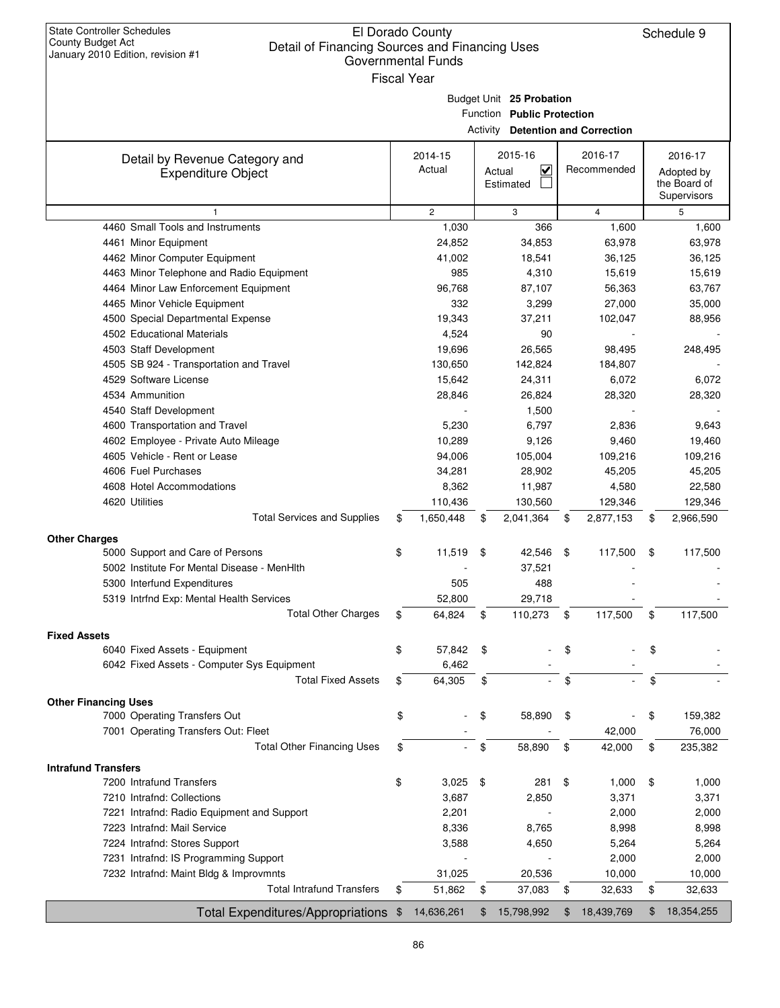|                             |                                             | <b>State Controller Schedules</b><br>El Dorado County<br>Schedule 9<br>County Budget Act<br>Detail of Financing Sources and Financing Uses<br>January 2010 Edition, revision #1<br><b>Governmental Funds</b><br><b>Fiscal Year</b> |        |                                      |                |                                          |    |                            |  |  |
|-----------------------------|---------------------------------------------|------------------------------------------------------------------------------------------------------------------------------------------------------------------------------------------------------------------------------------|--------|--------------------------------------|----------------|------------------------------------------|----|----------------------------|--|--|
|                             |                                             |                                                                                                                                                                                                                                    |        | Budget Unit 25 Probation             |                |                                          |    |                            |  |  |
|                             |                                             |                                                                                                                                                                                                                                    |        | Function Public Protection           |                |                                          |    |                            |  |  |
|                             |                                             |                                                                                                                                                                                                                                    |        |                                      |                | <b>Activity Detention and Correction</b> |    |                            |  |  |
|                             |                                             |                                                                                                                                                                                                                                    |        |                                      |                |                                          |    |                            |  |  |
|                             | Detail by Revenue Category and              | 2014-15<br>Actual                                                                                                                                                                                                                  |        | 2015-16                              |                | 2016-17                                  |    | 2016-17                    |  |  |
|                             | <b>Expenditure Object</b>                   |                                                                                                                                                                                                                                    | Actual | $\overline{\mathsf{v}}$<br>Estimated |                | Recommended                              |    | Adopted by<br>the Board of |  |  |
|                             |                                             |                                                                                                                                                                                                                                    |        |                                      |                |                                          |    | Supervisors                |  |  |
|                             | $\mathbf{1}$                                | $\overline{2}$                                                                                                                                                                                                                     |        | 3                                    |                | $\overline{4}$                           |    | 5                          |  |  |
|                             | 4460 Small Tools and Instruments            | 1,030                                                                                                                                                                                                                              |        | 366                                  |                | 1,600                                    |    | 1,600                      |  |  |
|                             | 4461 Minor Equipment                        | 24,852                                                                                                                                                                                                                             |        | 34,853                               |                | 63,978                                   |    | 63,978                     |  |  |
|                             | 4462 Minor Computer Equipment               | 41,002                                                                                                                                                                                                                             |        | 18,541                               |                | 36,125                                   |    | 36,125                     |  |  |
|                             | 4463 Minor Telephone and Radio Equipment    | 985                                                                                                                                                                                                                                |        | 4,310                                |                | 15,619                                   |    | 15,619                     |  |  |
|                             | 4464 Minor Law Enforcement Equipment        | 96.768                                                                                                                                                                                                                             |        | 87,107                               |                | 56,363                                   |    | 63,767                     |  |  |
|                             | 4465 Minor Vehicle Equipment                | 332                                                                                                                                                                                                                                |        | 3,299                                |                | 27,000                                   |    | 35,000                     |  |  |
|                             | 4500 Special Departmental Expense           | 19,343                                                                                                                                                                                                                             |        | 37,211                               |                | 102,047                                  |    | 88,956                     |  |  |
|                             | 4502 Educational Materials                  | 4,524                                                                                                                                                                                                                              |        | 90                                   |                |                                          |    |                            |  |  |
|                             | 4503 Staff Development                      | 19,696                                                                                                                                                                                                                             |        | 26,565                               |                | 98,495                                   |    | 248,495                    |  |  |
|                             | 4505 SB 924 - Transportation and Travel     | 130,650                                                                                                                                                                                                                            |        | 142,824                              |                | 184,807                                  |    |                            |  |  |
|                             | 4529 Software License                       | 15,642                                                                                                                                                                                                                             |        | 24,311                               |                | 6,072                                    |    | 6,072                      |  |  |
|                             | 4534 Ammunition                             | 28,846                                                                                                                                                                                                                             |        | 26,824                               |                | 28,320                                   |    | 28,320                     |  |  |
|                             | 4540 Staff Development                      |                                                                                                                                                                                                                                    |        | 1,500                                |                |                                          |    |                            |  |  |
|                             | 4600 Transportation and Travel              | 5,230                                                                                                                                                                                                                              |        | 6,797                                |                | 2,836                                    |    | 9,643                      |  |  |
|                             | 4602 Employee - Private Auto Mileage        | 10,289                                                                                                                                                                                                                             |        | 9,126                                |                | 9,460                                    |    | 19,460                     |  |  |
|                             | 4605 Vehicle - Rent or Lease                | 94,006                                                                                                                                                                                                                             |        | 105,004                              |                | 109,216                                  |    | 109,216                    |  |  |
|                             | 4606 Fuel Purchases                         | 34,281                                                                                                                                                                                                                             |        | 28,902                               |                | 45,205                                   |    | 45,205                     |  |  |
|                             | 4608 Hotel Accommodations                   | 8,362                                                                                                                                                                                                                              |        | 11,987                               |                | 4,580                                    |    | 22,580                     |  |  |
|                             | 4620 Utilities                              | 110,436                                                                                                                                                                                                                            |        | 130,560                              |                | 129,346                                  |    | 129,346                    |  |  |
|                             | <b>Total Services and Supplies</b>          | \$<br>1,650,448                                                                                                                                                                                                                    | \$     | 2,041,364                            | \$             | 2,877,153                                | \$ | 2,966,590                  |  |  |
|                             |                                             |                                                                                                                                                                                                                                    |        |                                      |                |                                          |    |                            |  |  |
| <b>Other Charges</b>        | 5000 Support and Care of Persons            | \$<br>11,519                                                                                                                                                                                                                       | \$     | 42,546                               | \$             | 117,500                                  | \$ | 117,500                    |  |  |
|                             | 5002 Institute For Mental Disease - MenHith |                                                                                                                                                                                                                                    |        | 37,521                               |                |                                          |    |                            |  |  |
|                             | 5300 Interfund Expenditures                 | 505                                                                                                                                                                                                                                |        | 488                                  |                |                                          |    |                            |  |  |
|                             | 5319 Intrfnd Exp: Mental Health Services    | 52,800                                                                                                                                                                                                                             |        | 29,718                               |                |                                          |    |                            |  |  |
|                             | <b>Total Other Charges</b>                  | 64,824                                                                                                                                                                                                                             |        | 110,273                              |                | 117,500                                  |    | 117,500                    |  |  |
|                             |                                             | \$                                                                                                                                                                                                                                 | \$     |                                      | \$             |                                          | \$ |                            |  |  |
| <b>Fixed Assets</b>         |                                             |                                                                                                                                                                                                                                    |        |                                      |                |                                          |    |                            |  |  |
|                             | 6040 Fixed Assets - Equipment               | \$<br>57,842                                                                                                                                                                                                                       | \$     |                                      | \$             |                                          | \$ |                            |  |  |
|                             | 6042 Fixed Assets - Computer Sys Equipment  | 6,462                                                                                                                                                                                                                              |        |                                      |                |                                          |    |                            |  |  |
|                             | <b>Total Fixed Assets</b>                   | \$<br>64,305                                                                                                                                                                                                                       | \$     |                                      | \$             |                                          | \$ |                            |  |  |
| <b>Other Financing Uses</b> |                                             |                                                                                                                                                                                                                                    |        |                                      |                |                                          |    |                            |  |  |
|                             | 7000 Operating Transfers Out                | \$                                                                                                                                                                                                                                 | \$     | 58,890                               | \$             |                                          | \$ | 159,382                    |  |  |
|                             | 7001 Operating Transfers Out: Fleet         |                                                                                                                                                                                                                                    |        |                                      |                | 42,000                                   |    | 76,000                     |  |  |
|                             | <b>Total Other Financing Uses</b>           | \$                                                                                                                                                                                                                                 | \$     | 58,890                               | \$             | 42,000                                   | \$ | 235,382                    |  |  |
| <b>Intrafund Transfers</b>  |                                             |                                                                                                                                                                                                                                    |        |                                      |                |                                          |    |                            |  |  |
|                             | 7200 Intrafund Transfers                    | \$<br>3,025                                                                                                                                                                                                                        | \$     | 281                                  | \$             | 1,000                                    | \$ | 1,000                      |  |  |
|                             | 7210 Intrafnd: Collections                  | 3,687                                                                                                                                                                                                                              |        | 2,850                                |                | 3,371                                    |    | 3,371                      |  |  |
|                             | 7221 Intrafnd: Radio Equipment and Support  | 2,201                                                                                                                                                                                                                              |        |                                      |                | 2,000                                    |    | 2,000                      |  |  |
|                             | 7223 Intrafnd: Mail Service                 | 8,336                                                                                                                                                                                                                              |        | 8,765                                |                | 8,998                                    |    | 8,998                      |  |  |
|                             | 7224 Intrafnd: Stores Support               | 3,588                                                                                                                                                                                                                              |        | 4,650                                |                | 5,264                                    |    | 5,264                      |  |  |
|                             | 7231 Intrafnd: IS Programming Support       |                                                                                                                                                                                                                                    |        |                                      |                | 2,000                                    |    | 2,000                      |  |  |
|                             | 7232 Intrafnd: Maint Bldg & Improvmnts      | 31,025                                                                                                                                                                                                                             |        | 20,536                               |                | 10,000                                   |    | 10,000                     |  |  |
|                             | <b>Total Intrafund Transfers</b>            | \$<br>51,862                                                                                                                                                                                                                       |        |                                      |                |                                          |    |                            |  |  |
|                             |                                             |                                                                                                                                                                                                                                    | \$     | 37,083                               | \$             | 32,633                                   | \$ | 32,633                     |  |  |
|                             | <b>Total Expenditures/Appropriations</b>    | \$<br>14,636,261                                                                                                                                                                                                                   | \$     | 15,798,992                           | $\mathfrak{F}$ | 18,439,769                               | \$ | 18,354,255                 |  |  |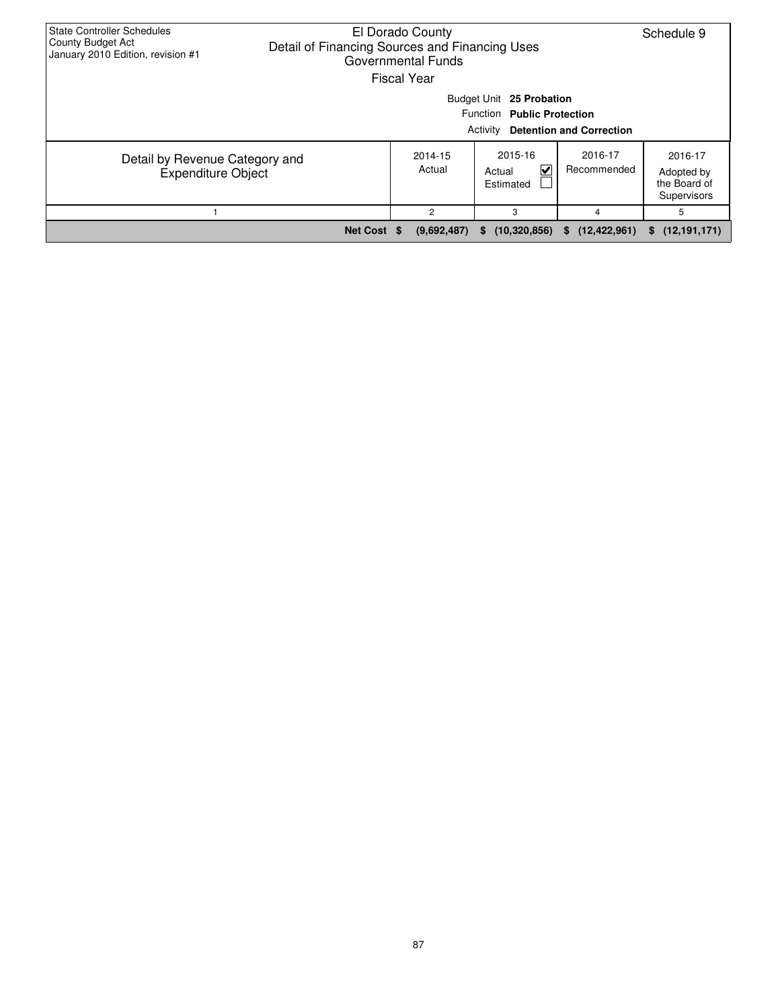| <b>State Controller Schedules</b><br>County Budget Act<br>January 2010 Edition, revision #1 | El Dorado County<br>Detail of Financing Sources and Financing Uses<br>Governmental Funds<br><b>Fiscal Year</b> |                   |                                     |                        |                                                      |  |  |  |  |  |  |  |
|---------------------------------------------------------------------------------------------|----------------------------------------------------------------------------------------------------------------|-------------------|-------------------------------------|------------------------|------------------------------------------------------|--|--|--|--|--|--|--|
|                                                                                             | Budget Unit 25 Probation<br>Function Public Protection<br><b>Detention and Correction</b><br>Activity          |                   |                                     |                        |                                                      |  |  |  |  |  |  |  |
| Detail by Revenue Category and<br><b>Expenditure Object</b>                                 |                                                                                                                | 2014-15<br>Actual | 2015-16<br>V<br>Actual<br>Estimated | 2016-17<br>Recommended | 2016-17<br>Adopted by<br>the Board of<br>Supervisors |  |  |  |  |  |  |  |
|                                                                                             |                                                                                                                | 2                 | 3                                   | 4                      | 5                                                    |  |  |  |  |  |  |  |
|                                                                                             | Net Cost \$                                                                                                    | (9,692,487)       | (10, 320, 856)<br>S.                | (12, 422, 961)<br>−Տ⊳  | \$(12, 191, 171)                                     |  |  |  |  |  |  |  |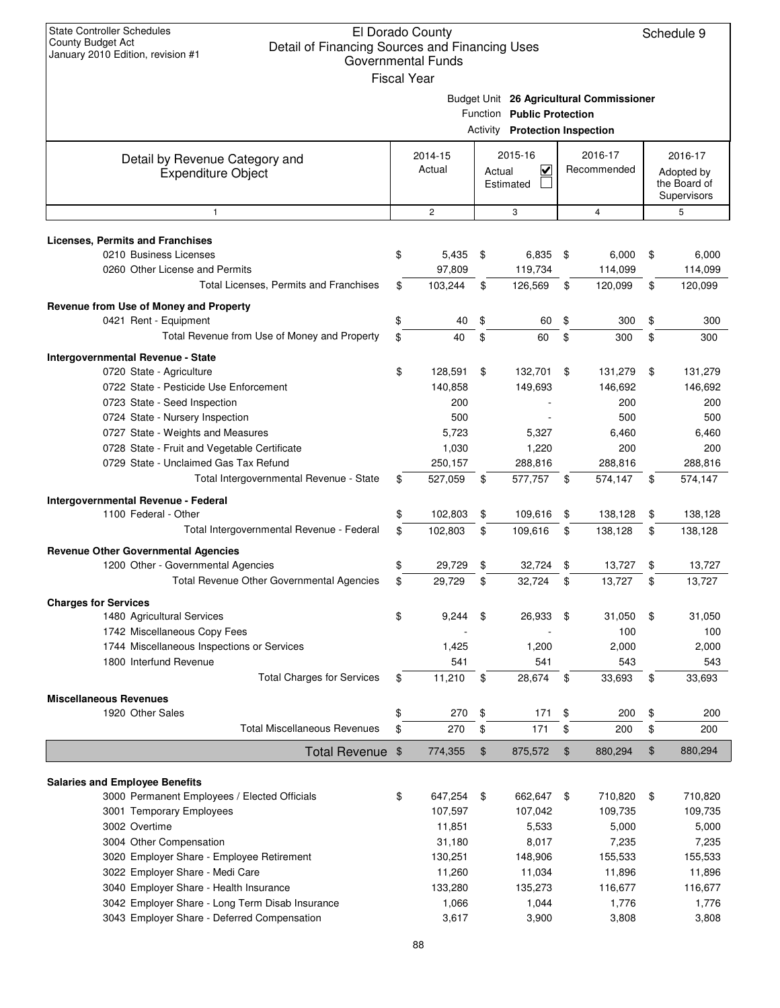| <b>State Controller Schedules</b><br><b>County Budget Act</b><br>Detail of Financing Sources and Financing Uses<br>January 2010 Edition, revision #1 | <b>Fiscal Year</b> | El Dorado County<br><b>Governmental Funds</b> |               |                              |                |                                          | Schedule 9                 |
|------------------------------------------------------------------------------------------------------------------------------------------------------|--------------------|-----------------------------------------------|---------------|------------------------------|----------------|------------------------------------------|----------------------------|
|                                                                                                                                                      |                    |                                               |               |                              |                | Budget Unit 26 Agricultural Commissioner |                            |
|                                                                                                                                                      |                    |                                               |               | Function Public Protection   |                |                                          |                            |
|                                                                                                                                                      |                    |                                               | Activity      | <b>Protection Inspection</b> |                |                                          |                            |
|                                                                                                                                                      |                    |                                               |               | 2015-16                      |                |                                          |                            |
| Detail by Revenue Category and                                                                                                                       |                    | 2014-15<br>Actual                             |               | $\overline{\mathbf{v}}$      |                | 2016-17<br>Recommended                   | 2016-17                    |
| <b>Expenditure Object</b>                                                                                                                            |                    |                                               | Actual        | Estimated                    |                |                                          | Adopted by<br>the Board of |
|                                                                                                                                                      |                    |                                               |               |                              |                |                                          | Supervisors                |
| 1                                                                                                                                                    |                    | $\mathbf{2}$                                  |               | 3                            |                | $\overline{4}$                           | 5                          |
|                                                                                                                                                      |                    |                                               |               |                              |                |                                          |                            |
| Licenses, Permits and Franchises<br>0210 Business Licenses                                                                                           | \$                 | 5,435                                         | \$            | 6,835                        | \$             |                                          | \$<br>6,000                |
| 0260 Other License and Permits                                                                                                                       |                    |                                               |               |                              |                | 6,000                                    |                            |
|                                                                                                                                                      |                    | 97,809                                        |               | 119,734                      |                | 114,099                                  | 114,099                    |
| Total Licenses, Permits and Franchises                                                                                                               | \$                 | 103,244                                       | \$            | 126,569                      | \$             | 120,099                                  | \$<br>120,099              |
| Revenue from Use of Money and Property                                                                                                               |                    |                                               |               |                              |                |                                          |                            |
| 0421 Rent - Equipment                                                                                                                                | \$                 | 40                                            | \$            | 60                           | \$             | 300                                      | \$<br>300                  |
| Total Revenue from Use of Money and Property                                                                                                         | \$                 | 40                                            | \$            | 60                           | \$             | 300                                      | \$<br>300                  |
| Intergovernmental Revenue - State                                                                                                                    |                    |                                               |               |                              |                |                                          |                            |
| 0720 State - Agriculture                                                                                                                             | \$                 | 128,591                                       | \$            | 132,701                      | \$             | 131,279                                  | \$<br>131,279              |
| 0722 State - Pesticide Use Enforcement                                                                                                               |                    | 140,858                                       |               | 149,693                      |                | 146,692                                  | 146,692                    |
| 0723 State - Seed Inspection                                                                                                                         |                    | 200                                           |               |                              |                | 200                                      | 200                        |
| 0724 State - Nursery Inspection                                                                                                                      |                    | 500                                           |               |                              |                | 500                                      | 500                        |
| 0727 State - Weights and Measures                                                                                                                    |                    | 5,723                                         |               | 5,327                        |                | 6,460                                    | 6,460                      |
| 0728 State - Fruit and Vegetable Certificate                                                                                                         |                    | 1,030                                         |               | 1,220                        |                | 200                                      | 200                        |
| 0729 State - Unclaimed Gas Tax Refund                                                                                                                |                    | 250,157                                       |               | 288,816                      |                | 288,816                                  | 288,816                    |
| Total Intergovernmental Revenue - State                                                                                                              | \$                 | 527,059                                       | \$            | 577,757                      | \$             | 574,147                                  | \$<br>574,147              |
| Intergovernmental Revenue - Federal                                                                                                                  |                    |                                               |               |                              |                |                                          |                            |
| 1100 Federal - Other                                                                                                                                 | \$                 | 102,803                                       | \$            | 109,616                      | \$             | 138,128                                  | \$<br>138,128              |
| Total Intergovernmental Revenue - Federal                                                                                                            | \$                 | 102,803                                       | \$            | 109,616                      | \$             | 138,128                                  | \$<br>138,128              |
| <b>Revenue Other Governmental Agencies</b>                                                                                                           |                    |                                               |               |                              |                |                                          |                            |
| 1200 Other - Governmental Agencies                                                                                                                   | \$                 | 29,729                                        | \$            | 32,724                       | \$             | 13,727                                   | \$<br>13,727               |
| Total Revenue Other Governmental Agencies                                                                                                            | \$                 | 29,729                                        | \$            | 32,724                       | \$             | 13,727                                   | \$<br>13,727               |
| <b>Charges for Services</b>                                                                                                                          |                    |                                               |               |                              |                |                                          |                            |
| 1480 Agricultural Services                                                                                                                           | \$                 | 9,244                                         | \$            | 26,933                       | \$             | 31,050                                   | \$<br>31,050               |
| 1742 Miscellaneous Copy Fees                                                                                                                         |                    |                                               |               |                              |                | 100                                      | 100                        |
| 1744 Miscellaneous Inspections or Services                                                                                                           |                    | 1,425                                         |               | 1,200                        |                | 2,000                                    | 2,000                      |
| 1800 Interfund Revenue                                                                                                                               |                    | 541                                           |               | 541                          |                | 543                                      | 543                        |
| <b>Total Charges for Services</b>                                                                                                                    | \$                 | 11,210                                        | \$            | 28,674                       | \$             | 33,693                                   | \$<br>33,693               |
| <b>Miscellaneous Revenues</b>                                                                                                                        |                    |                                               |               |                              |                |                                          |                            |
| 1920 Other Sales                                                                                                                                     | \$                 | 270                                           | \$            | 171                          | \$             | 200                                      | \$<br>200                  |
| <b>Total Miscellaneous Revenues</b>                                                                                                                  | \$                 | 270                                           | \$            | 171                          | \$             | 200                                      | \$<br>200                  |
| Total Revenue \$                                                                                                                                     |                    | 774,355                                       | $\frac{1}{2}$ | 875,572                      | $\mathfrak{F}$ | 880,294                                  | \$<br>880,294              |
|                                                                                                                                                      |                    |                                               |               |                              |                |                                          |                            |
| <b>Salaries and Employee Benefits</b>                                                                                                                |                    |                                               |               |                              |                |                                          |                            |
| 3000 Permanent Employees / Elected Officials                                                                                                         | \$                 | 647,254                                       | \$            | 662,647                      | -\$            | 710,820                                  | \$<br>710,820              |
| 3001 Temporary Employees                                                                                                                             |                    | 107,597                                       |               | 107,042                      |                | 109,735                                  | 109,735                    |
| 3002 Overtime                                                                                                                                        |                    | 11,851                                        |               | 5,533                        |                | 5,000                                    | 5,000                      |
| 3004 Other Compensation                                                                                                                              |                    | 31,180                                        |               | 8,017                        |                | 7,235                                    | 7,235                      |
| 3020 Employer Share - Employee Retirement                                                                                                            |                    | 130,251                                       |               | 148,906                      |                | 155,533                                  | 155,533                    |
| 3022 Employer Share - Medi Care                                                                                                                      |                    | 11,260                                        |               | 11,034                       |                | 11,896                                   | 11,896                     |
| 3040 Employer Share - Health Insurance                                                                                                               |                    | 133,280                                       |               | 135,273                      |                | 116,677                                  | 116,677                    |
| 3042 Employer Share - Long Term Disab Insurance                                                                                                      |                    | 1,066                                         |               | 1,044                        |                | 1,776                                    | 1,776                      |
| 3043 Employer Share - Deferred Compensation                                                                                                          |                    | 3,617                                         |               | 3,900                        |                | 3,808                                    | 3,808                      |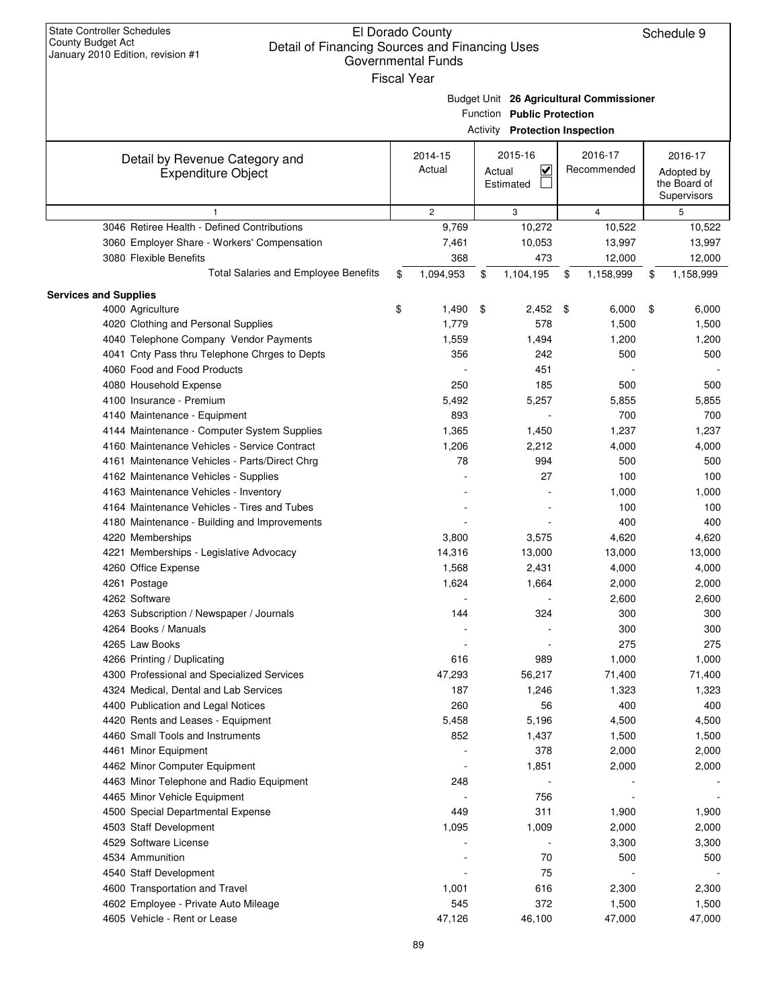| <b>State Controller Schedules</b><br>El Dorado County<br>Schedule 9<br>County Budget Act<br>Detail of Financing Sources and Financing Uses<br>January 2010 Edition, revision #1<br>Governmental Funds<br><b>Fiscal Year</b> |    |                   |        |                                                                     |    |                                          |    |                                                      |  |
|-----------------------------------------------------------------------------------------------------------------------------------------------------------------------------------------------------------------------------|----|-------------------|--------|---------------------------------------------------------------------|----|------------------------------------------|----|------------------------------------------------------|--|
|                                                                                                                                                                                                                             |    |                   |        | Function Public Protection<br><b>Activity Protection Inspection</b> |    | Budget Unit 26 Agricultural Commissioner |    |                                                      |  |
| Detail by Revenue Category and<br><b>Expenditure Object</b>                                                                                                                                                                 |    | 2014-15<br>Actual | Actual | 2015-16<br>V<br>Estimated                                           |    | 2016-17<br>Recommended                   |    | 2016-17<br>Adopted by<br>the Board of<br>Supervisors |  |
|                                                                                                                                                                                                                             |    | $\overline{2}$    |        | 3                                                                   |    | $\overline{4}$                           |    | 5                                                    |  |
| 3046 Retiree Health - Defined Contributions                                                                                                                                                                                 |    | 9,769             |        | 10,272                                                              |    | 10,522                                   |    | 10,522                                               |  |
| 3060 Employer Share - Workers' Compensation                                                                                                                                                                                 |    | 7,461             |        | 10,053                                                              |    | 13,997                                   |    | 13,997                                               |  |
| 3080 Flexible Benefits                                                                                                                                                                                                      |    | 368               |        | 473                                                                 |    | 12,000                                   |    | 12,000                                               |  |
| <b>Total Salaries and Employee Benefits</b>                                                                                                                                                                                 | \$ | 1,094,953         | \$     | 1,104,195                                                           | \$ | 1,158,999                                | \$ | 1,158,999                                            |  |
| <b>Services and Supplies</b>                                                                                                                                                                                                |    |                   |        |                                                                     |    |                                          |    |                                                      |  |
| 4000 Agriculture                                                                                                                                                                                                            | \$ | 1,490             | \$     | 2,452                                                               | \$ | 6,000                                    | \$ | 6,000                                                |  |
| 4020 Clothing and Personal Supplies                                                                                                                                                                                         |    | 1,779             |        | 578                                                                 |    | 1,500                                    |    | 1,500                                                |  |
| 4040 Telephone Company Vendor Payments                                                                                                                                                                                      |    | 1,559             |        | 1,494                                                               |    | 1,200                                    |    | 1,200                                                |  |
| 4041 Cnty Pass thru Telephone Chrges to Depts                                                                                                                                                                               |    | 356               |        | 242                                                                 |    | 500                                      |    | 500                                                  |  |
| 4060 Food and Food Products                                                                                                                                                                                                 |    |                   |        | 451                                                                 |    |                                          |    |                                                      |  |
| 4080 Household Expense                                                                                                                                                                                                      |    | 250               |        | 185                                                                 |    | 500                                      |    | 500                                                  |  |
| 4100 Insurance - Premium                                                                                                                                                                                                    |    | 5,492             |        | 5,257                                                               |    | 5,855                                    |    | 5,855                                                |  |
| 4140 Maintenance - Equipment                                                                                                                                                                                                |    | 893               |        |                                                                     |    | 700                                      |    | 700                                                  |  |
| 4144 Maintenance - Computer System Supplies                                                                                                                                                                                 |    | 1,365             |        | 1,450                                                               |    | 1,237                                    |    | 1,237                                                |  |
| 4160 Maintenance Vehicles - Service Contract                                                                                                                                                                                |    | 1,206             |        |                                                                     |    | 4,000                                    |    |                                                      |  |
|                                                                                                                                                                                                                             |    |                   |        | 2,212                                                               |    |                                          |    | 4,000                                                |  |
| 4161 Maintenance Vehicles - Parts/Direct Chrg                                                                                                                                                                               |    | 78                |        | 994                                                                 |    | 500                                      |    | 500                                                  |  |
| 4162 Maintenance Vehicles - Supplies                                                                                                                                                                                        |    |                   |        | 27                                                                  |    | 100                                      |    | 100                                                  |  |
| 4163 Maintenance Vehicles - Inventory                                                                                                                                                                                       |    |                   |        |                                                                     |    | 1,000                                    |    | 1,000                                                |  |
| 4164 Maintenance Vehicles - Tires and Tubes                                                                                                                                                                                 |    |                   |        |                                                                     |    | 100                                      |    | 100                                                  |  |
| 4180 Maintenance - Building and Improvements                                                                                                                                                                                |    |                   |        |                                                                     |    | 400                                      |    | 400                                                  |  |
| 4220 Memberships                                                                                                                                                                                                            |    | 3,800             |        | 3,575                                                               |    | 4,620                                    |    | 4,620                                                |  |
| 4221 Memberships - Legislative Advocacy                                                                                                                                                                                     |    | 14,316            |        | 13,000                                                              |    | 13,000                                   |    | 13,000                                               |  |
| 4260 Office Expense                                                                                                                                                                                                         |    | 1,568             |        | 2,431                                                               |    | 4,000                                    |    | 4,000                                                |  |
| 4261 Postage                                                                                                                                                                                                                |    | 1,624             |        | 1,664                                                               |    | 2,000                                    |    | 2,000                                                |  |
| 4262 Software                                                                                                                                                                                                               |    |                   |        |                                                                     |    | 2,600                                    |    | 2,600                                                |  |
| 4263 Subscription / Newspaper / Journals                                                                                                                                                                                    |    | 144               |        | 324                                                                 |    | 300                                      |    | 300                                                  |  |
| 4264 Books / Manuals                                                                                                                                                                                                        |    |                   |        |                                                                     |    | 300                                      |    | 300                                                  |  |
| 4265 Law Books                                                                                                                                                                                                              |    |                   |        |                                                                     |    | 275                                      |    | 275                                                  |  |
| 4266 Printing / Duplicating                                                                                                                                                                                                 |    | 616               |        | 989                                                                 |    | 1,000                                    |    | 1,000                                                |  |
| 4300 Professional and Specialized Services                                                                                                                                                                                  |    | 47,293            |        | 56,217                                                              |    | 71,400                                   |    | 71,400                                               |  |
| 4324 Medical, Dental and Lab Services                                                                                                                                                                                       |    | 187               |        | 1,246                                                               |    | 1,323                                    |    | 1,323                                                |  |
| 4400 Publication and Legal Notices                                                                                                                                                                                          |    | 260               |        | 56                                                                  |    | 400                                      |    | 400                                                  |  |
| 4420 Rents and Leases - Equipment                                                                                                                                                                                           |    | 5,458             |        | 5,196                                                               |    | 4,500                                    |    | 4,500                                                |  |
| 4460 Small Tools and Instruments                                                                                                                                                                                            |    | 852               |        | 1,437                                                               |    | 1,500                                    |    | 1,500                                                |  |
| 4461 Minor Equipment                                                                                                                                                                                                        |    |                   |        | 378                                                                 |    | 2,000                                    |    | 2,000                                                |  |
| 4462 Minor Computer Equipment                                                                                                                                                                                               |    |                   |        | 1,851                                                               |    | 2,000                                    |    | 2,000                                                |  |
| 4463 Minor Telephone and Radio Equipment                                                                                                                                                                                    |    | 248               |        |                                                                     |    |                                          |    |                                                      |  |
| 4465 Minor Vehicle Equipment                                                                                                                                                                                                |    |                   |        | 756                                                                 |    |                                          |    |                                                      |  |
| 4500 Special Departmental Expense                                                                                                                                                                                           |    | 449               |        | 311                                                                 |    | 1,900                                    |    | 1,900                                                |  |
| 4503 Staff Development                                                                                                                                                                                                      |    | 1,095             |        | 1,009                                                               |    | 2,000                                    |    | 2,000                                                |  |
| 4529 Software License                                                                                                                                                                                                       |    |                   |        |                                                                     |    | 3,300                                    |    | 3,300                                                |  |
| 4534 Ammunition                                                                                                                                                                                                             |    |                   |        | 70                                                                  |    | 500                                      |    | 500                                                  |  |
| 4540 Staff Development                                                                                                                                                                                                      |    |                   |        | 75                                                                  |    |                                          |    |                                                      |  |
| 4600 Transportation and Travel                                                                                                                                                                                              |    | 1,001             |        | 616                                                                 |    | 2,300                                    |    | 2,300                                                |  |
| 4602 Employee - Private Auto Mileage                                                                                                                                                                                        |    | 545               |        | 372                                                                 |    | 1,500                                    |    | 1,500                                                |  |
| 4605 Vehicle - Rent or Lease                                                                                                                                                                                                |    | 47,126            |        | 46,100                                                              |    | 47,000                                   |    | 47,000                                               |  |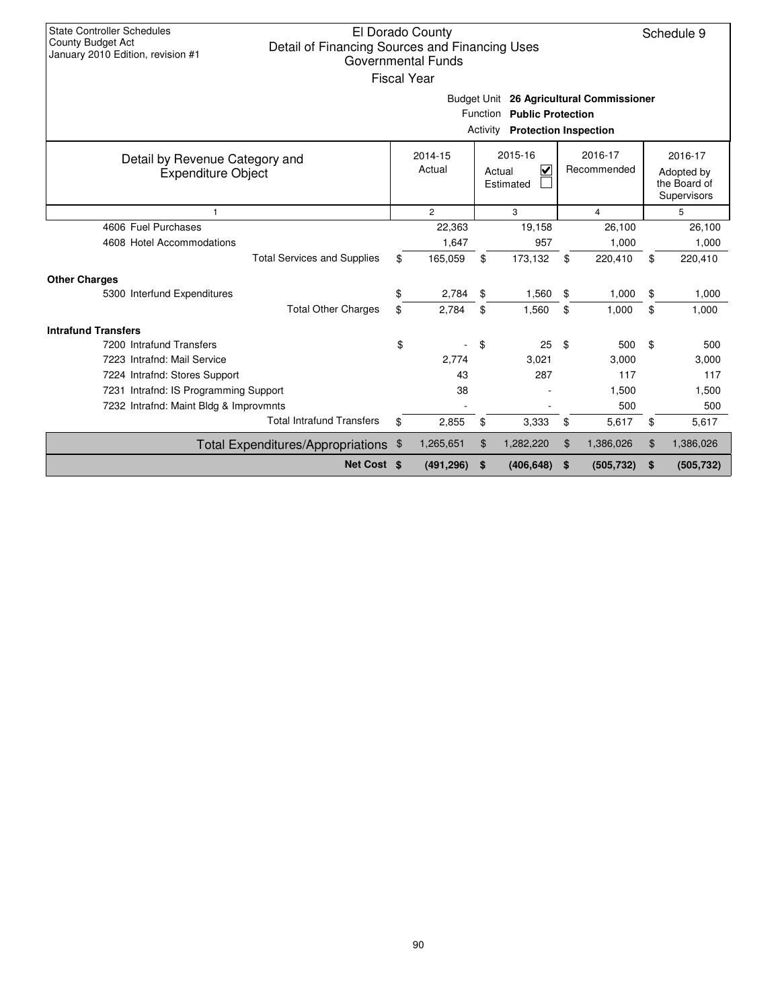| <b>State Controller Schedules</b><br>El Dorado County<br>Schedule 9<br><b>County Budget Act</b><br>Detail of Financing Sources and Financing Uses<br>January 2010 Edition, revision #1<br><b>Governmental Funds</b><br><b>Fiscal Year</b><br>Budget Unit 26 Agricultural Commissioner |                                                                                        |                |    |                          |    |            |    |                                                      |  |  |  |  |
|---------------------------------------------------------------------------------------------------------------------------------------------------------------------------------------------------------------------------------------------------------------------------------------|----------------------------------------------------------------------------------------|----------------|----|--------------------------|----|------------|----|------------------------------------------------------|--|--|--|--|
| Function Public Protection<br><b>Activity Protection Inspection</b>                                                                                                                                                                                                                   |                                                                                        |                |    |                          |    |            |    |                                                      |  |  |  |  |
| Detail by Revenue Category and<br><b>Expenditure Object</b>                                                                                                                                                                                                                           | 2015-16<br>2016-17<br>$2014 - 15$<br>Actual<br>⊽<br>Recommended<br>Actual<br>Estimated |                |    |                          |    |            |    | 2016-17<br>Adopted by<br>the Board of<br>Supervisors |  |  |  |  |
| $\mathbf{1}$                                                                                                                                                                                                                                                                          |                                                                                        | $\overline{2}$ |    | 3<br>$\overline{4}$<br>5 |    |            |    |                                                      |  |  |  |  |
| 4606 Fuel Purchases                                                                                                                                                                                                                                                                   |                                                                                        | 22,363         |    | 19,158                   |    | 26,100     |    | 26,100                                               |  |  |  |  |
| 4608 Hotel Accommodations                                                                                                                                                                                                                                                             |                                                                                        | 1,647          |    | 957                      |    | 1,000      |    | 1,000                                                |  |  |  |  |
| <b>Total Services and Supplies</b>                                                                                                                                                                                                                                                    | \$                                                                                     | 165,059        | \$ | 173,132                  | \$ | 220,410    | \$ | 220,410                                              |  |  |  |  |
| <b>Other Charges</b>                                                                                                                                                                                                                                                                  |                                                                                        |                |    |                          |    |            |    |                                                      |  |  |  |  |
| 5300 Interfund Expenditures                                                                                                                                                                                                                                                           | \$                                                                                     | 2,784          | \$ | 1,560                    | \$ | 1,000      | \$ | 1,000                                                |  |  |  |  |
| <b>Total Other Charges</b>                                                                                                                                                                                                                                                            | \$                                                                                     | 2.784          | \$ | 1,560                    | \$ | 1.000      | \$ | 1.000                                                |  |  |  |  |
| <b>Intrafund Transfers</b>                                                                                                                                                                                                                                                            |                                                                                        |                |    |                          |    |            |    |                                                      |  |  |  |  |
| 7200 Intrafund Transfers                                                                                                                                                                                                                                                              | \$                                                                                     |                | \$ | 25                       | \$ | 500        | \$ | 500                                                  |  |  |  |  |
| 7223 Intrafnd: Mail Service                                                                                                                                                                                                                                                           |                                                                                        | 2,774          |    | 3,021                    |    | 3.000      |    | 3,000                                                |  |  |  |  |
| 7224 Intrafnd: Stores Support                                                                                                                                                                                                                                                         |                                                                                        | 43             |    | 287                      |    | 117        |    | 117                                                  |  |  |  |  |
| 7231 Intrafnd: IS Programming Support                                                                                                                                                                                                                                                 |                                                                                        | 38             |    |                          |    | 1,500      |    | 1,500                                                |  |  |  |  |
| 7232 Intrafnd: Maint Bldg & Improvmnts                                                                                                                                                                                                                                                |                                                                                        |                |    |                          |    | 500        |    | 500                                                  |  |  |  |  |
| <b>Total Intrafund Transfers</b>                                                                                                                                                                                                                                                      | \$                                                                                     | 2,855          | \$ | 3,333                    | \$ | 5,617      | \$ | 5,617                                                |  |  |  |  |
| Total Expenditures/Appropriations \$                                                                                                                                                                                                                                                  |                                                                                        | 1,265,651      | \$ | 1,282,220                | \$ | 1,386,026  | \$ | 1,386,026                                            |  |  |  |  |
| Net Cost \$                                                                                                                                                                                                                                                                           |                                                                                        | (491, 296)     | \$ | (406, 648)               | \$ | (505, 732) | \$ | (505, 732)                                           |  |  |  |  |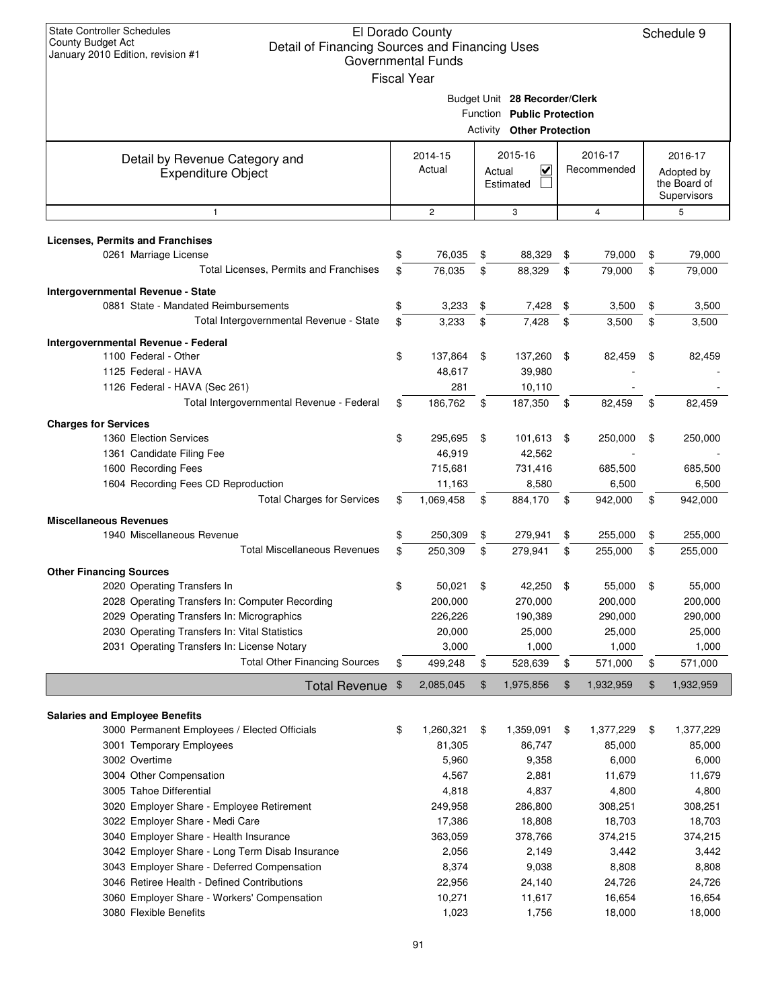| <b>State Controller Schedules</b><br>El Dorado County<br>Schedule 9<br>County Budget Act<br>Detail of Financing Sources and Financing Uses<br>January 2010 Edition, revision #1<br><b>Governmental Funds</b><br><b>Fiscal Year</b> |    |                   |        |                                                                                                 |      |                   |    |                                           |  |
|------------------------------------------------------------------------------------------------------------------------------------------------------------------------------------------------------------------------------------|----|-------------------|--------|-------------------------------------------------------------------------------------------------|------|-------------------|----|-------------------------------------------|--|
|                                                                                                                                                                                                                                    |    |                   |        | Budget Unit 28 Recorder/Clerk<br>Function Public Protection<br><b>Activity Other Protection</b> |      |                   |    |                                           |  |
| Detail by Revenue Category and                                                                                                                                                                                                     |    | 2014-15           |        | 2015-16                                                                                         |      | 2016-17           |    | 2016-17                                   |  |
| <b>Expenditure Object</b>                                                                                                                                                                                                          |    | Actual            | Actual | $\checkmark$<br>Estimated                                                                       |      | Recommended       |    | Adopted by<br>the Board of<br>Supervisors |  |
| $\mathbf{1}$                                                                                                                                                                                                                       |    | $\overline{c}$    |        | 3                                                                                               |      | 4                 |    | 5                                         |  |
| <b>Licenses, Permits and Franchises</b>                                                                                                                                                                                            |    |                   |        |                                                                                                 |      |                   |    |                                           |  |
| 0261 Marriage License                                                                                                                                                                                                              | \$ | 76,035            | \$     | 88,329                                                                                          | \$   | 79,000            | \$ | 79,000                                    |  |
| Total Licenses, Permits and Franchises                                                                                                                                                                                             | \$ | 76,035            | \$     | 88,329                                                                                          | \$   | 79,000            | \$ | 79,000                                    |  |
| Intergovernmental Revenue - State                                                                                                                                                                                                  |    |                   |        |                                                                                                 |      |                   |    |                                           |  |
| 0881 State - Mandated Reimbursements                                                                                                                                                                                               | \$ | 3,233             | \$     | 7,428                                                                                           | \$   | 3,500             | \$ | 3,500                                     |  |
| Total Intergovernmental Revenue - State                                                                                                                                                                                            | \$ | 3,233             | \$     | 7,428                                                                                           | \$   | 3,500             | \$ | 3,500                                     |  |
| Intergovernmental Revenue - Federal                                                                                                                                                                                                |    |                   |        |                                                                                                 |      |                   |    |                                           |  |
| 1100 Federal - Other                                                                                                                                                                                                               | \$ | 137,864           | \$     | 137,260                                                                                         | \$   | 82,459            | \$ | 82,459                                    |  |
| 1125 Federal - HAVA                                                                                                                                                                                                                |    | 48,617            |        | 39,980                                                                                          |      |                   |    |                                           |  |
| 1126 Federal - HAVA (Sec 261)<br>Total Intergovernmental Revenue - Federal                                                                                                                                                         | \$ | 281<br>186,762    | \$     | 10,110<br>187,350                                                                               | \$   | 82,459            | \$ | 82,459                                    |  |
|                                                                                                                                                                                                                                    |    |                   |        |                                                                                                 |      |                   |    |                                           |  |
| <b>Charges for Services</b><br>1360 Election Services                                                                                                                                                                              | \$ |                   | \$     |                                                                                                 | - \$ |                   | \$ |                                           |  |
| 1361 Candidate Filing Fee                                                                                                                                                                                                          |    | 295,695<br>46,919 |        | 101,613<br>42,562                                                                               |      | 250,000           |    | 250,000                                   |  |
| 1600 Recording Fees                                                                                                                                                                                                                |    | 715,681           |        | 731,416                                                                                         |      | 685,500           |    | 685,500                                   |  |
| 1604 Recording Fees CD Reproduction                                                                                                                                                                                                |    | 11,163            |        | 8,580                                                                                           |      | 6,500             |    | 6,500                                     |  |
| <b>Total Charges for Services</b>                                                                                                                                                                                                  | \$ | 1,069,458         | \$     | 884,170                                                                                         | \$   | 942,000           | \$ | 942,000                                   |  |
| <b>Miscellaneous Revenues</b>                                                                                                                                                                                                      |    |                   |        |                                                                                                 |      |                   |    |                                           |  |
| 1940 Miscellaneous Revenue                                                                                                                                                                                                         | \$ | 250,309           | \$     | 279,941                                                                                         | \$   | 255,000           | \$ | 255,000                                   |  |
| <b>Total Miscellaneous Revenues</b>                                                                                                                                                                                                | \$ | 250,309           | \$     | 279,941                                                                                         | \$   | 255,000           | \$ | 255,000                                   |  |
| <b>Other Financing Sources</b>                                                                                                                                                                                                     |    |                   |        |                                                                                                 |      |                   |    |                                           |  |
| 2020 Operating Transfers In                                                                                                                                                                                                        | \$ | 50,021            | \$     | 42,250                                                                                          | \$   | 55,000            | \$ | 55,000                                    |  |
| 2028 Operating Transfers In: Computer Recording                                                                                                                                                                                    |    | 200,000           |        | 270,000                                                                                         |      | 200,000           |    | 200,000                                   |  |
| 2029 Operating Transfers In: Micrographics                                                                                                                                                                                         |    | 226,226           |        | 190,389                                                                                         |      | 290,000           |    | 290,000                                   |  |
| 2030 Operating Transfers In: Vital Statistics                                                                                                                                                                                      |    | 20,000            |        | 25,000                                                                                          |      | 25,000            |    | 25,000                                    |  |
| 2031 Operating Transfers In: License Notary<br><b>Total Other Financing Sources</b>                                                                                                                                                | \$ | 3,000<br>499,248  | \$     | 1,000<br>528,639                                                                                | \$   | 1,000<br>571,000  | \$ | 1,000<br>571,000                          |  |
|                                                                                                                                                                                                                                    |    |                   |        |                                                                                                 |      |                   |    |                                           |  |
| Total Revenue \$                                                                                                                                                                                                                   |    | 2,085,045         | \$     | 1,975,856                                                                                       | \$   | 1,932,959         | \$ | 1,932,959                                 |  |
| <b>Salaries and Employee Benefits</b>                                                                                                                                                                                              |    |                   |        |                                                                                                 |      |                   |    |                                           |  |
| 3000 Permanent Employees / Elected Officials                                                                                                                                                                                       | \$ | 1,260,321         | \$     | 1,359,091                                                                                       | \$   | 1,377,229         | \$ | 1,377,229                                 |  |
| 3001 Temporary Employees                                                                                                                                                                                                           |    | 81,305            |        | 86,747                                                                                          |      | 85,000            |    | 85,000                                    |  |
| 3002 Overtime                                                                                                                                                                                                                      |    | 5,960             |        | 9,358                                                                                           |      | 6,000             |    | 6,000                                     |  |
| 3004 Other Compensation                                                                                                                                                                                                            |    | 4,567             |        | 2,881                                                                                           |      | 11,679            |    | 11,679                                    |  |
| 3005 Tahoe Differential                                                                                                                                                                                                            |    | 4,818             |        | 4,837                                                                                           |      | 4,800             |    | 4,800                                     |  |
| 3020 Employer Share - Employee Retirement<br>3022 Employer Share - Medi Care                                                                                                                                                       |    | 249,958<br>17,386 |        | 286,800<br>18,808                                                                               |      | 308,251<br>18,703 |    | 308,251<br>18,703                         |  |
| 3040 Employer Share - Health Insurance                                                                                                                                                                                             |    | 363,059           |        | 378,766                                                                                         |      | 374,215           |    | 374,215                                   |  |
| 3042 Employer Share - Long Term Disab Insurance                                                                                                                                                                                    |    | 2,056             |        | 2,149                                                                                           |      | 3,442             |    | 3,442                                     |  |
| 3043 Employer Share - Deferred Compensation                                                                                                                                                                                        |    | 8,374             |        | 9,038                                                                                           |      | 8,808             |    | 8,808                                     |  |
| 3046 Retiree Health - Defined Contributions                                                                                                                                                                                        |    | 22,956            |        | 24,140                                                                                          |      | 24,726            |    | 24,726                                    |  |
| 3060 Employer Share - Workers' Compensation                                                                                                                                                                                        |    | 10,271            |        | 11,617                                                                                          |      | 16,654            |    | 16,654                                    |  |
| 3080 Flexible Benefits                                                                                                                                                                                                             |    | 1,023             |        | 1,756                                                                                           |      | 18,000            |    | 18,000                                    |  |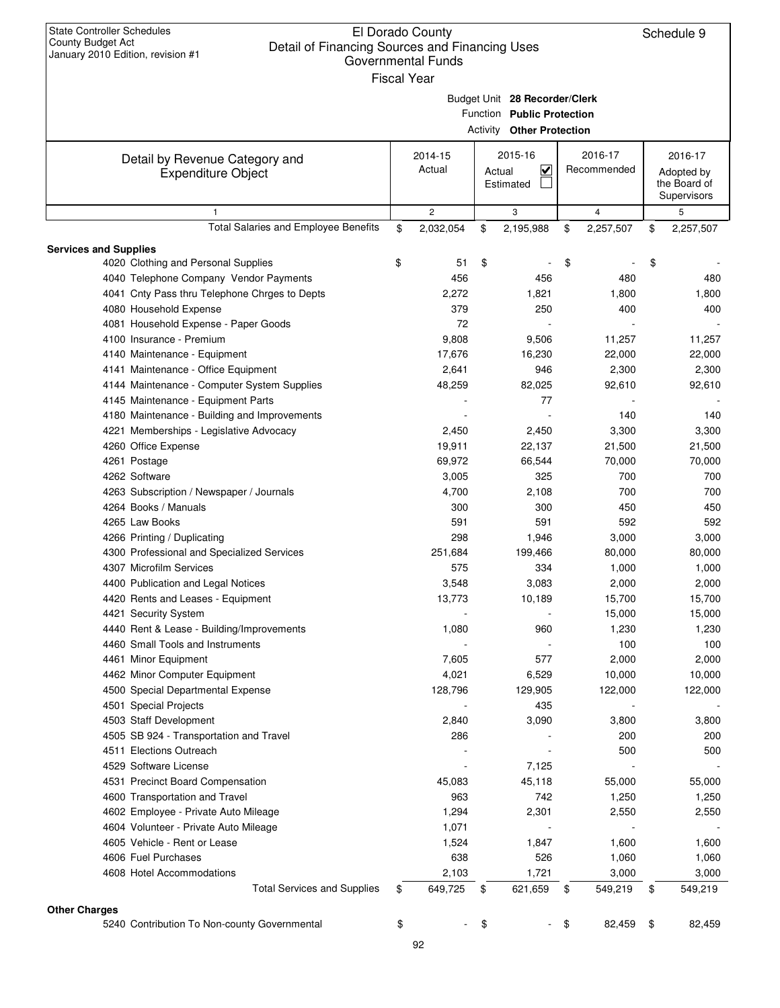| <b>State Controller Schedules</b><br>County Budget Act<br>Detail of Financing Sources and Financing Uses<br>January 2010 Edition, revision #1 | El Dorado County<br>Governmental Funds<br><b>Fiscal Year</b> |        |                                                                                                 |                        | Schedule 9                                           |
|-----------------------------------------------------------------------------------------------------------------------------------------------|--------------------------------------------------------------|--------|-------------------------------------------------------------------------------------------------|------------------------|------------------------------------------------------|
|                                                                                                                                               |                                                              |        | Budget Unit 28 Recorder/Clerk<br>Function Public Protection<br><b>Activity Other Protection</b> |                        |                                                      |
| Detail by Revenue Category and<br><b>Expenditure Object</b>                                                                                   | 2014-15<br>Actual                                            | Actual | 2015-16<br>V<br>Estimated                                                                       | 2016-17<br>Recommended | 2016-17<br>Adopted by<br>the Board of<br>Supervisors |
| 1                                                                                                                                             | $\mathbf{2}$                                                 |        | 3                                                                                               | $\overline{4}$         | 5                                                    |
| Total Salaries and Employee Benefits                                                                                                          | \$<br>2,032,054                                              | \$     | 2,195,988                                                                                       | \$<br>2,257,507        | \$<br>2,257,507                                      |
| <b>Services and Supplies</b>                                                                                                                  |                                                              |        |                                                                                                 |                        |                                                      |
| 4020 Clothing and Personal Supplies                                                                                                           | \$<br>51                                                     | \$     |                                                                                                 | \$                     | \$                                                   |
| 4040 Telephone Company Vendor Payments                                                                                                        | 456                                                          |        | 456                                                                                             | 480                    | 480                                                  |
| 4041 Cnty Pass thru Telephone Chrges to Depts                                                                                                 | 2,272                                                        |        | 1,821                                                                                           | 1,800                  | 1,800                                                |
| 4080 Household Expense                                                                                                                        | 379                                                          |        | 250                                                                                             | 400                    | 400                                                  |
| 4081 Household Expense - Paper Goods                                                                                                          | 72                                                           |        |                                                                                                 |                        |                                                      |
| 4100 Insurance - Premium                                                                                                                      | 9,808                                                        |        | 9,506                                                                                           | 11,257                 | 11,257                                               |
| 4140 Maintenance - Equipment<br>4141 Maintenance - Office Equipment                                                                           | 17,676<br>2,641                                              |        | 16,230<br>946                                                                                   | 22,000<br>2,300        | 22,000<br>2,300                                      |
| 4144 Maintenance - Computer System Supplies                                                                                                   | 48,259                                                       |        | 82,025                                                                                          | 92,610                 | 92,610                                               |
| 4145 Maintenance - Equipment Parts                                                                                                            |                                                              |        | 77                                                                                              |                        |                                                      |
| 4180 Maintenance - Building and Improvements                                                                                                  |                                                              |        |                                                                                                 | 140                    | 140                                                  |
| 4221 Memberships - Legislative Advocacy                                                                                                       | 2,450                                                        |        | 2,450                                                                                           | 3,300                  | 3,300                                                |
| 4260 Office Expense                                                                                                                           | 19,911                                                       |        | 22,137                                                                                          | 21,500                 | 21,500                                               |
| 4261 Postage                                                                                                                                  | 69,972                                                       |        | 66,544                                                                                          | 70,000                 | 70,000                                               |
| 4262 Software                                                                                                                                 | 3,005                                                        |        | 325                                                                                             | 700                    | 700                                                  |
| 4263 Subscription / Newspaper / Journals                                                                                                      | 4,700                                                        |        | 2,108                                                                                           | 700                    | 700                                                  |
| 4264 Books / Manuals                                                                                                                          | 300                                                          |        | 300                                                                                             | 450                    | 450                                                  |
| 4265 Law Books                                                                                                                                | 591                                                          |        | 591                                                                                             | 592                    | 592                                                  |
| 4266 Printing / Duplicating                                                                                                                   | 298                                                          |        | 1,946                                                                                           | 3,000                  | 3,000                                                |
| 4300 Professional and Specialized Services                                                                                                    | 251,684                                                      |        | 199,466                                                                                         | 80,000                 | 80,000                                               |
| 4307 Microfilm Services                                                                                                                       | 575                                                          |        | 334                                                                                             | 1,000                  | 1,000                                                |
| 4400 Publication and Legal Notices                                                                                                            | 3,548                                                        |        | 3,083                                                                                           | 2,000                  | 2,000                                                |
| 4420 Rents and Leases - Equipment                                                                                                             | 13,773                                                       |        | 10,189                                                                                          | 15,700                 | 15,700                                               |
| 4421 Security System<br>4440 Rent & Lease - Building/Improvements                                                                             | 1,080                                                        |        | 960                                                                                             | 15,000<br>1,230        | 15,000<br>1,230                                      |
| 4460 Small Tools and Instruments                                                                                                              |                                                              |        |                                                                                                 | 100                    | 100                                                  |
| 4461 Minor Equipment                                                                                                                          | 7,605                                                        |        | 577                                                                                             | 2,000                  | 2,000                                                |
| 4462 Minor Computer Equipment                                                                                                                 | 4,021                                                        |        | 6,529                                                                                           | 10,000                 | 10,000                                               |
| 4500 Special Departmental Expense                                                                                                             | 128,796                                                      |        | 129,905                                                                                         | 122,000                | 122,000                                              |
| 4501 Special Projects                                                                                                                         |                                                              |        | 435                                                                                             |                        |                                                      |
| 4503 Staff Development                                                                                                                        | 2,840                                                        |        | 3,090                                                                                           | 3,800                  | 3,800                                                |
| 4505 SB 924 - Transportation and Travel                                                                                                       | 286                                                          |        |                                                                                                 | 200                    | 200                                                  |
| 4511 Elections Outreach                                                                                                                       |                                                              |        |                                                                                                 | 500                    | 500                                                  |
| 4529 Software License                                                                                                                         |                                                              |        | 7,125                                                                                           |                        |                                                      |
| 4531 Precinct Board Compensation                                                                                                              | 45,083                                                       |        | 45,118                                                                                          | 55,000                 | 55,000                                               |
| 4600 Transportation and Travel                                                                                                                | 963                                                          |        | 742                                                                                             | 1,250                  | 1,250                                                |
| 4602 Employee - Private Auto Mileage                                                                                                          | 1,294                                                        |        | 2,301                                                                                           | 2,550                  | 2,550                                                |
| 4604 Volunteer - Private Auto Mileage<br>4605 Vehicle - Rent or Lease                                                                         | 1,071<br>1,524                                               |        | 1,847                                                                                           | 1,600                  | 1,600                                                |
| 4606 Fuel Purchases                                                                                                                           | 638                                                          |        | 526                                                                                             | 1,060                  | 1,060                                                |
| 4608 Hotel Accommodations                                                                                                                     | 2,103                                                        |        | 1,721                                                                                           | 3,000                  | 3,000                                                |
| <b>Total Services and Supplies</b>                                                                                                            | \$<br>649,725                                                | \$     | 621,659                                                                                         | \$<br>549,219          | \$<br>549,219                                        |
|                                                                                                                                               |                                                              |        |                                                                                                 |                        |                                                      |
| <b>Other Charges</b><br>5240 Contribution To Non-county Governmental                                                                          | \$                                                           | \$     |                                                                                                 | \$<br>82,459           | \$<br>82,459                                         |